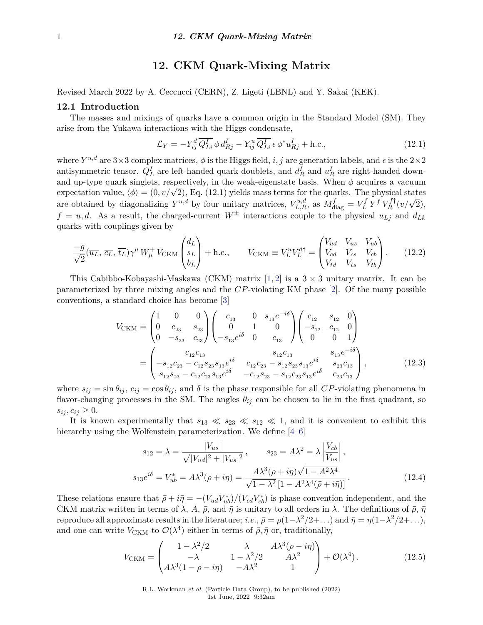# **12. CKM Quark-Mixing Matrix**

Revised March 2022 by A. Ceccucci (CERN), Z. Ligeti (LBNL) and Y. Sakai (KEK).

### **12.1 Introduction**

The masses and mixings of quarks have a common origin in the Standard Model (SM). They arise from the Yukawa interactions with the Higgs condensate,

$$
\mathcal{L}_Y = -Y_{ij}^d \overline{Q_{Li}^I} \phi \, d_{Rj}^I - Y_{ij}^u \overline{Q_{Li}^I} \epsilon \, \phi^* u_{Rj}^I + \text{h.c.},\tag{12.1}
$$

where  $Y^{u,d}$  are  $3\times 3$  complex matrices,  $\phi$  is the Higgs field, *i, j* are generation labels, and  $\epsilon$  is the  $2\times 2$ antisymmetric tensor.  $Q_L^I$  are left-handed quark doublets, and  $d_R^I$  and  $u_R^I$  are right-handed downand up-type quark singlets, respectively, in the weak-eigenstate basis. When  $\phi$  acquires a vacuum and up-type quark singlets, respectively, in the weak-eigenstate basis. When  $\varphi$  acquires a vacuum<br>expectation value,  $\langle \phi \rangle = (0, v/\sqrt{2})$ , Eq. (12.1) yields mass terms for the quarks. The physical states are obtained by diagonalizing  $Y^{u,d}$  by four unitary matrices,  $V^{u,d}_{L,R}$ , as  $M^f_{\text{diag}} = V^f_L$  $L^f Y^f V^f_R$  $C_R^{f\dagger}(v/\sqrt{2}),$  $f = u, d$ . As a result, the charged-current  $W^{\pm}$  interactions couple to the physical  $u_{Li}$  and  $d_{Lk}$ quarks with couplings given by

$$
\frac{-g}{\sqrt{2}}(\overline{u_L}, \overline{c_L}, \overline{t_L})\gamma^\mu W^+_\mu V_{\text{CKM}} \begin{pmatrix} d_L \\ s_L \\ b_L \end{pmatrix} + \text{h.c.,} \qquad V_{\text{CKM}} \equiv V^u_L V^{d\dagger}_L = \begin{pmatrix} V_{ud} & V_{us} & V_{ub} \\ V_{cd} & V_{cs} & V_{cb} \\ V_{td} & V_{ts} & V_{tb} \end{pmatrix} . \tag{12.2}
$$

This Cabibbo-Kobayashi-Maskawa (CKM) matrix  $[1, 2]$  $[1, 2]$  $[1, 2]$  is a  $3 \times 3$  unitary matrix. It can be parameterized by three mixing angles and the *CP*-violating KM phase [\[2\]](#page-14-1). Of the many possible conventions, a standard choice has become [\[3\]](#page-14-2)

$$
V_{\text{CKM}} = \begin{pmatrix} 1 & 0 & 0 \\ 0 & c_{23} & s_{23} \\ 0 & -s_{23} & c_{23} \end{pmatrix} \begin{pmatrix} c_{13} & 0 & s_{13}e^{-i\delta} \\ 0 & 1 & 0 \\ -s_{13}e^{i\delta} & 0 & c_{13} \end{pmatrix} \begin{pmatrix} c_{12} & s_{12} & 0 \\ -s_{12} & c_{12} & 0 \\ 0 & 0 & 1 \end{pmatrix}
$$
  
= 
$$
\begin{pmatrix} c_{12}c_{13} & s_{12}c_{13} & s_{13}e^{-i\delta} \\ -s_{12}c_{23} - c_{12}s_{23}s_{13}e^{i\delta} & c_{12}c_{23} - s_{12}s_{23}s_{13}e^{i\delta} & s_{23}c_{13} \\ s_{12}s_{23} - c_{12}c_{23}s_{13}e^{i\delta} & -c_{12}s_{23} - s_{12}c_{23}s_{13}e^{i\delta} & c_{23}c_{13} \end{pmatrix},
$$
(12.3)

where  $s_{ij} = \sin \theta_{ij}$ ,  $c_{ij} = \cos \theta_{ij}$ , and  $\delta$  is the phase responsible for all *CP*-violating phenomena in flavor-changing processes in the SM. The angles  $\theta_{ij}$  can be chosen to lie in the first quadrant, so  $s_{ij}, c_{ij} \geq 0.$ 

It is known experimentally that  $s_{13} \ll s_{23} \ll s_{12} \ll 1$ , and it is convenient to exhibit this hierarchy using the Wolfenstein parameterization. We define [\[4–](#page-14-3)[6\]](#page-14-4)

$$
s_{12} = \lambda = \frac{|V_{us}|}{\sqrt{|V_{ud}|^2 + |V_{us}|^2}}, \qquad s_{23} = A\lambda^2 = \lambda \left| \frac{V_{cb}}{V_{us}} \right|,
$$
  

$$
s_{13}e^{i\delta} = V_{ub}^* = A\lambda^3(\rho + i\eta) = \frac{A\lambda^3(\bar{\rho} + i\bar{\eta})\sqrt{1 - A^2\lambda^4}}{\sqrt{1 - \lambda^2}\left[1 - A^2\lambda^4(\bar{\rho} + i\bar{\eta})\right]}.
$$
 (12.4)

These relations ensure that  $\bar{\rho} + i\bar{\eta} = -(V_{ud}V_{ub}^*)/(V_{cd}V_{cb}^*)$  is phase convention independent, and the CKM matrix written in terms of  $\lambda$ ,  $A$ ,  $\bar{\rho}$ , and  $\bar{\eta}$  is unitary to all orders in  $\lambda$ . The definitions of  $\bar{\rho}$ ,  $\bar{\eta}$ reproduce all approximate results in the literature; *i.e.*,  $\bar{\rho} = \rho(1-\lambda^2/2+\ldots)$  and  $\bar{\eta} = \eta(1-\lambda^2/2+\ldots)$ , and one can write  $V_{\text{CKM}}$  to  $\mathcal{O}(\lambda^4)$  either in terms of  $\bar{\rho}, \bar{\eta}$  or, traditionally,

$$
V_{\text{CKM}} = \begin{pmatrix} 1 - \lambda^2/2 & \lambda & A\lambda^3(\rho - i\eta) \\ -\lambda & 1 - \lambda^2/2 & A\lambda^2 \\ A\lambda^3(1 - \rho - i\eta) & -A\lambda^2 & 1 \end{pmatrix} + \mathcal{O}(\lambda^4). \tag{12.5}
$$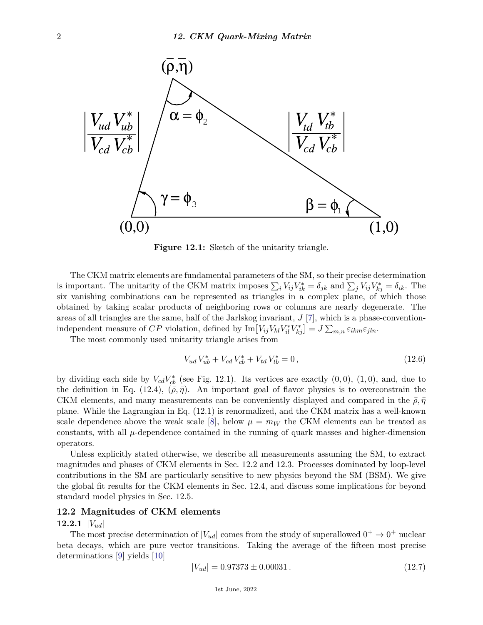

**Figure 12.1:** Sketch of the unitarity triangle.

The CKM matrix elements are fundamental parameters of the SM, so their precise determination is important. The unitarity of the CKM matrix imposes  $\sum_i V_{ij} V_{ik}^* = \delta_{jk}$  and  $\sum_j V_{ij} V_{kj}^* = \delta_{ik}$ . The six vanishing combinations can be represented as triangles in a complex plane, of which those obtained by taking scalar products of neighboring rows or columns are nearly degenerate. The areas of all triangles are the same, half of the Jarlskog invariant, *J* [\[7\]](#page-14-5), which is a phase-conventionindependent measure of *CP* violation, defined by  $\text{Im}[V_{ij}V_{kl}V_{il}^*V_{kj}^*] = J \sum_{m,n} \varepsilon_{ikm} \varepsilon_{jln}$ .

The most commonly used unitarity triangle arises from

$$
V_{ud}V_{ub}^* + V_{cd}V_{cb}^* + V_{td}V_{tb}^* = 0, \qquad (12.6)
$$

by dividing each side by  $V_{cd}V_{cb}^*$  (see Fig. 12.1). Its vertices are exactly  $(0,0)$ ,  $(1,0)$ , and, due to the definition in Eq. (12.4),  $(\bar{\rho}, \bar{\eta})$ . An important goal of flavor physics is to overconstrain the CKM elements, and many measurements can be conveniently displayed and compared in the  $\bar{\rho}, \bar{\eta}$ plane. While the Lagrangian in Eq. (12.1) is renormalized, and the CKM matrix has a well-known scale dependence above the weak scale [\[8\]](#page-14-6), below  $\mu = m_W$  the CKM elements can be treated as constants, with all  $\mu$ -dependence contained in the running of quark masses and higher-dimension operators.

Unless explicitly stated otherwise, we describe all measurements assuming the SM, to extract magnitudes and phases of CKM elements in Sec. 12.2 and 12.3. Processes dominated by loop-level contributions in the SM are particularly sensitive to new physics beyond the SM (BSM). We give the global fit results for the CKM elements in Sec. 12.4, and discuss some implications for beyond standard model physics in Sec. 12.5.

# **12.2 Magnitudes of CKM elements**

## **12.2.1** |*Vud*|

The most precise determination of  $|V_{ud}|$  comes from the study of superallowed  $0^+ \rightarrow 0^+$  nuclear beta decays, which are pure vector transitions. Taking the average of the fifteen most precise determinations [\[9\]](#page-14-7) yields [\[10\]](#page-14-8)

$$
|V_{ud}| = 0.97373 \pm 0.00031. \tag{12.7}
$$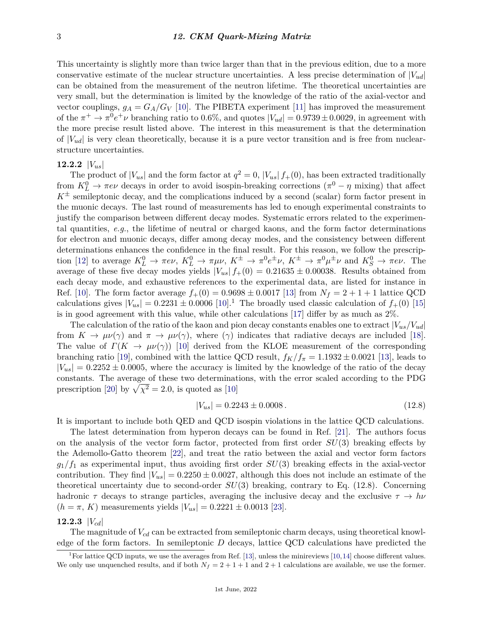This uncertainty is slightly more than twice larger than that in the previous edition, due to a more conservative estimate of the nuclear structure uncertainties. A less precise determination of  $|V_{ud}|$ can be obtained from the measurement of the neutron lifetime. The theoretical uncertainties are very small, but the determination is limited by the knowledge of the ratio of the axial-vector and vector couplings,  $g_A = G_A/G_V$  [\[10\]](#page-14-8). The PIBETA experiment [\[11\]](#page-14-9) has improved the measurement of the  $\pi^+ \to \pi^0 e^+ \nu$  branching ratio to 0.6%, and quotes  $|V_{ud}| = 0.9739 \pm 0.0029$ , in agreement with the more precise result listed above. The interest in this measurement is that the determination of  $|V_{ud}|$  is very clean theoretically, because it is a pure vector transition and is free from nuclearstructure uncertainties.

## **12.2.2** |*Vus*|

The product of  $|V_{us}|$  and the form factor at  $q^2 = 0$ ,  $|V_{us}| f_+(0)$ , has been extracted traditionally from  $K^0_L \to \pi e \nu$  decays in order to avoid isospin-breaking corrections  $(\pi^0 - \eta \text{ mixing})$  that affect  $K^{\pm}$  semileptonic decay, and the complications induced by a second (scalar) form factor present in the muonic decays. The last round of measurements has led to enough experimental constraints to justify the comparison between different decay modes. Systematic errors related to the experimental quantities, *e.g.*, the lifetime of neutral or charged kaons, and the form factor determinations for electron and muonic decays, differ among decay modes, and the consistency between different determinations enhances the confidence in the final result. For this reason, we follow the prescrip-tion [\[12\]](#page-14-10) to average  $K^0_L \to \pi e \nu$ ,  $K^0_L \to \pi \mu \nu$ ,  $K^{\pm} \to \pi^0 e^{\pm} \nu$ ,  $K^{\pm} \to \pi^0 \mu^{\pm} \nu$  and  $K^0_S \to \pi e \nu$ . The average of these five decay modes yields  $|V_{us}| f_+(0) = 0.21635 \pm 0.00038$ . Results obtained from each decay mode, and exhaustive references to the experimental data, are listed for instance in Ref. [\[10\]](#page-14-8). The form factor average  $f_{+}(0) = 0.9698 \pm 0.0017$  [\[13\]](#page-14-11) from  $N_f = 2 + 1 + 1$  lattice QCD calculations gives  $|V_{us}| = 0.2231 \pm 0.0006$  $|V_{us}| = 0.2231 \pm 0.0006$  $|V_{us}| = 0.2231 \pm 0.0006$  [\[10\]](#page-14-8).<sup>1</sup> The broadly used classic calculation of  $f_+(0)$  [\[15\]](#page-14-12) is in good agreement with this value, while other calculations [\[17\]](#page-14-13) differ by as much as 2%.

The calculation of the ratio of the kaon and pion decay constants enables one to extract  $|V_{us}/V_{ud}|$ from  $K \to \mu\nu(\gamma)$  and  $\pi \to \mu\nu(\gamma)$ , where  $(\gamma)$  indicates that radiative decays are included [\[18\]](#page-14-14). The value of  $\Gamma(K \to \mu\nu(\gamma))$  [\[10\]](#page-14-8) derived from the KLOE measurement of the corresponding branching ratio [\[19\]](#page-14-15), combined with the lattice QCD result,  $f_K/f_\pi = 1.1932 \pm 0.0021$  [\[13\]](#page-14-11), leads to  $|V_{us}| = 0.2252 \pm 0.0005$ , where the accuracy is limited by the knowledge of the ratio of the decay constants. The average of these two determinations, with the error scaled according to the PDG prescription [\[20\]](#page-14-16) by  $\sqrt{\chi^2} = 2.0$ , is quoted as [\[10\]](#page-14-8)

$$
|V_{us}| = 0.2243 \pm 0.0008. \tag{12.8}
$$

It is important to include both QED and QCD isospin violations in the lattice QCD calculations.

The latest determination from hyperon decays can be found in Ref. [\[21\]](#page-15-0). The authors focus on the analysis of the vector form factor, protected from first order *SU*(3) breaking effects by the Ademollo-Gatto theorem [\[22\]](#page-15-1), and treat the ratio between the axial and vector form factors  $g_1/f_1$  as experimental input, thus avoiding first order  $SU(3)$  breaking effects in the axial-vector contribution. They find  $|V_{us}| = 0.2250 \pm 0.0027$ , although this does not include an estimate of the theoretical uncertainty due to second-order *SU*(3) breaking, contrary to Eq. (12.8). Concerning hadronic  $\tau$  decays to strange particles, averaging the inclusive decay and the exclusive  $\tau \to h\nu$  $(h = \pi, K)$  measurements yields  $|V_{us}| = 0.2221 \pm 0.0013$  [\[23\]](#page-15-2).

## **12.2.3** |*Vcd*|

The magnitude of *Vcd* can be extracted from semileptonic charm decays, using theoretical knowledge of the form factors. In semileptonic *D* decays, lattice QCD calculations have predicted the

<span id="page-2-0"></span><sup>&</sup>lt;sup>1</sup>For lattice QCD inputs, we use the averages from Ref. [\[13\]](#page-14-11), unless the minireviews [\[10,](#page-14-8)[14\]](#page-14-17) choose different values. We only use unquenched results, and if both  $N_f = 2 + 1 + 1$  and  $2 + 1$  calculations are available, we use the former.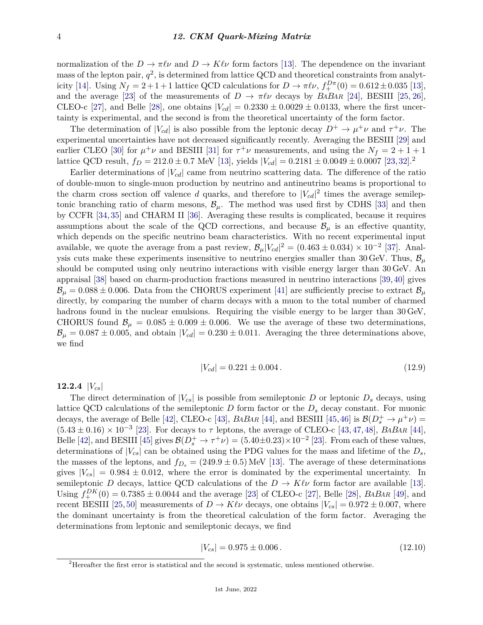normalization of the  $D \to \pi \ell \nu$  and  $D \to K \ell \nu$  form factors [\[13\]](#page-14-11). The dependence on the invariant mass of the lepton pair,  $q^2$ , is determined from lattice QCD and theoretical constraints from analyt-icity [\[14\]](#page-14-17). Using  $N_f = 2 + 1 + 1$  lattice QCD calculations for  $D \to \pi \ell \nu$ ,  $f_+^{D\pi}(0) = 0.612 \pm 0.035$  [\[13\]](#page-14-11), and the average [\[23\]](#page-15-2) of the measurements of  $D \to \pi \ell \nu$  decays by *BABAR* [\[24\]](#page-15-3), BESIII [\[25,](#page-15-4) [26\]](#page-15-5), CLEO-c [\[27\]](#page-15-6), and Belle [\[28\]](#page-15-7), one obtains  $|V_{cd}| = 0.2330 \pm 0.0029 \pm 0.0133$ , where the first uncertainty is experimental, and the second is from the theoretical uncertainty of the form factor.

The determination of  $|V_{cd}|$  is also possible from the leptonic decay  $D^+ \to \mu^+\nu$  and  $\tau^+\nu$ . The experimental uncertainties have not decreased significantly recently. Averaging the BESIII [\[29\]](#page-15-8) and earlier CLEO [\[30\]](#page-15-9) for  $\mu^+\nu$  and BESIII [\[31\]](#page-15-10) for  $\tau^+\nu$  measurements, and using the  $N_f = 2 + 1 + 1$ lattice QCD result,  $f_D = 212.0 \pm 0.7$  $f_D = 212.0 \pm 0.7$  $f_D = 212.0 \pm 0.7$  MeV [\[13\]](#page-14-11), yields  $|V_{cd}| = 0.2181 \pm 0.0049 \pm 0.0007$  [\[23,](#page-15-2) [32\]](#page-15-11).<sup>2</sup>

Earlier determinations of  $|V_{cd}|$  came from neutrino scattering data. The difference of the ratio of double-muon to single-muon production by neutrino and antineutrino beams is proportional to the charm cross section off valence *d* quarks, and therefore to  $|V_{cd}|^2$  times the average semileptonic branching ratio of charm mesons,  $\mathcal{B}_{\mu}$ . The method was used first by CDHS [\[33\]](#page-15-12) and then by CCFR [\[34,](#page-15-13) [35\]](#page-15-14) and CHARM II [\[36\]](#page-15-15). Averaging these results is complicated, because it requires assumptions about the scale of the QCD corrections, and because  $\mathcal{B}_{\mu}$  is an effective quantity, which depends on the specific neutrino beam characteristics. With no recent experimental input available, we quote the average from a past review,  $\mathcal{B}_{\mu}|V_{cd}|^2 = (0.463 \pm 0.034) \times 10^{-2}$  [\[37\]](#page-15-16). Analysis cuts make these experiments insensitive to neutrino energies smaller than 30 GeV. Thus,  $B_{\mu}$ should be computed using only neutrino interactions with visible energy larger than 30 GeV. An appraisal [\[38\]](#page-15-17) based on charm-production fractions measured in neutrino interactions [\[39,](#page-15-18)[40\]](#page-15-19) gives  $B_\mu = 0.088 \pm 0.006$ . Data from the CHORUS experiment [\[41\]](#page-15-20) are sufficiently precise to extract  $B_\mu$ directly, by comparing the number of charm decays with a muon to the total number of charmed hadrons found in the nuclear emulsions. Requiring the visible energy to be larger than 30 GeV, CHORUS found  $\mathcal{B}_{\mu} = 0.085 \pm 0.009 \pm 0.006$ . We use the average of these two determinations,  $\mathcal{B}_{\mu} = 0.087 \pm 0.005$ , and obtain  $|V_{cd}| = 0.230 \pm 0.011$ . Averaging the three determinations above, we find

$$
|V_{cd}| = 0.221 \pm 0.004. \tag{12.9}
$$

**12.2.4** |*Vcs*|

The direct determination of  $|V_{cs}|$  is possible from semileptonic *D* or leptonic  $D_s$  decays, using lattice QCD calculations of the semileptonic *D* form factor or the *D<sup>s</sup>* decay constant. For muonic decays, the average of Belle [\[42\]](#page-15-21), CLEO-c [\[43\]](#page-15-22), *BABAR* [\[44\]](#page-15-23), and BESIII [\[45,](#page-15-24)[46\]](#page-15-25) is  $\mathcal{B}(D_s^+ \to \mu^+ \nu)$  =  $(5.43 \pm 0.16) \times 10^{-3}$  [\[23\]](#page-15-2). For decays to  $\tau$  leptons, the average of CLEO-c [\[43,](#page-15-22) [47,](#page-15-26) [48\]](#page-15-27), *BABAR* [\[44\]](#page-15-23), Belle [\[42\]](#page-15-21), and BESIII [\[45\]](#page-15-24) gives  $\mathcal{B}(D_s^+ \to \tau^+\nu) = (5.40 \pm 0.23) \times 10^{-2}$  [\[23\]](#page-15-2). From each of these values, determinations of  $|V_{cs}|$  can be obtained using the PDG values for the mass and lifetime of the  $D_s$ , the masses of the leptons, and  $f_{D_s} = (249.9 \pm 0.5)$  MeV [\[13\]](#page-14-11). The average of these determinations gives  $|V_{cs}| = 0.984 \pm 0.012$ , where the error is dominated by the experimental uncertainty. In semileptonic *D* decays, lattice QCD calculations of the  $D \to K\ell\nu$  form factor are available [\[13\]](#page-14-11). Using  $f_+^{DK}(0) = 0.7385 \pm 0.0044$  and the average [\[23\]](#page-15-2) of CLEO-c [\[27\]](#page-15-6), Belle [\[28\]](#page-15-7), *BABAR* [\[49\]](#page-15-28), and recent BESIII [\[25,](#page-15-4) [50\]](#page-15-29) measurements of  $D \to K\ell\nu$  decays, one obtains  $|V_{cs}| = 0.972 \pm 0.007$ , where the dominant uncertainty is from the theoretical calculation of the form factor. Averaging the determinations from leptonic and semileptonic decays, we find

$$
|V_{cs}| = 0.975 \pm 0.006. \tag{12.10}
$$

<span id="page-3-0"></span><sup>&</sup>lt;sup>2</sup>Hereafter the first error is statistical and the second is systematic, unless mentioned otherwise.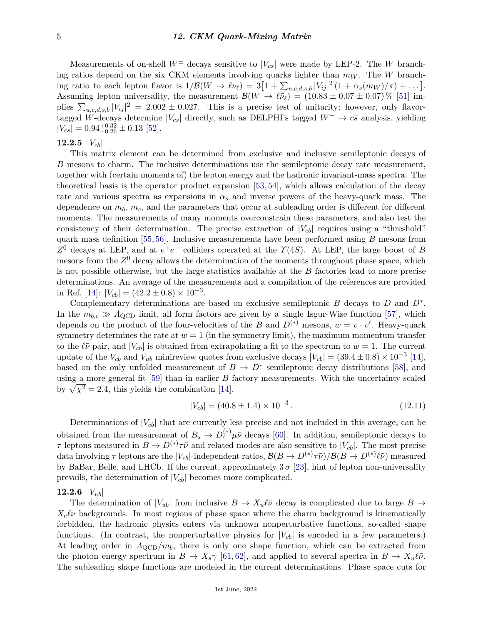Measurements of on-shell  $W^{\pm}$  decays sensitive to  $|V_{cs}|$  were made by LEP-2. The *W* branching ratios depend on the six CKM elements involving quarks lighter than  $m_W$ . The W branching ratio to each lepton flavor is  $1/\mathcal{B}(W \to \ell \bar{\nu}_{\ell}) = 3[1 + \sum_{u,c,d,s,b} |V_{ij}|^2 (1 + \alpha_s(m_W)/\pi) + \ldots].$ Assuming lepton universality, the measurement  $\mathcal{B}(W \to \ell \bar{\nu}_{\ell}) = (10.83 \pm 0.07 \pm 0.07) \%$  [\[51\]](#page-15-30) implies  $\sum_{u,c,d,s,b} |V_{ij}|^2 = 2.002 \pm 0.027$ . This is a precise test of unitarity; however, only flavortagged W-decays determine  $|V_{cs}|$  directly, such as DELPHI's tagged  $W^+ \to c\bar{s}$  analysis, yielding  $|V_{cs}| = 0.94_{-0.26}^{+0.32} \pm 0.13$  [\[52\]](#page-15-31).

# **12.2.5** |*Vcb*|

This matrix element can be determined from exclusive and inclusive semileptonic decays of *B* mesons to charm. The inclusive determinations use the semileptonic decay rate measurement, together with (certain moments of) the lepton energy and the hadronic invariant-mass spectra. The theoretical basis is the operator product expansion [\[53,](#page-16-0) [54\]](#page-16-1), which allows calculation of the decay rate and various spectra as expansions in  $\alpha_s$  and inverse powers of the heavy-quark mass. The dependence on *mb*, *mc*, and the parameters that occur at subleading order is different for different moments. The measurements of many moments overconstrain these parameters, and also test the consistency of their determination. The precise extraction of  $|V_{cb}|$  requires using a "threshold" quark mass definition [\[55,](#page-16-2) [56\]](#page-16-3). Inclusive measurements have been performed using *B* mesons from *Z*<sup>0</sup> decays at LEP, and at  $e^+e^-$  colliders operated at the *Υ*(4*S*). At LEP, the large boost of *B* mesons from the *Z* <sup>0</sup> decay allows the determination of the moments throughout phase space, which is not possible otherwise, but the large statistics available at the *B* factories lead to more precise determinations. An average of the measurements and a compilation of the references are provided in Ref. [\[14\]](#page-14-17):  $|V_{cb}| = (42.2 \pm 0.8) \times 10^{-3}$ .

Complementary determinations are based on exclusive semileptonic *B* decays to *D* and *D*<sup>∗</sup> . In the  $m_{b,c} \gg A_{\rm QCD}$  limit, all form factors are given by a single Isgur-Wise function [\[57\]](#page-16-4), which depends on the product of the four-velocities of the *B* and  $D^{(*)}$  mesons,  $w = v \cdot v'$ . Heavy-quark symmetry determines the rate at  $w = 1$  (in the symmetry limit), the maximum momentum transfer to the  $\ell \bar{\nu}$  pair, and  $|V_{cb}|$  is obtained from extrapolating a fit to the spectrum to  $w = 1$ . The current update of the  $V_{cb}$  and  $V_{ub}$  minireview quotes from exclusive decays  $|V_{cb}| = (39.4 \pm 0.8) \times 10^{-3}$  [\[14\]](#page-14-17), based on the only unfolded measurement of  $B \to D^*$  semileptonic decay distributions [\[58\]](#page-16-5), and using a more general fit [\[59\]](#page-16-6) than in earlier *B* factory measurements. With the uncertainty scaled by  $\sqrt{\chi^2} = 2.4$ , this yields the combination [\[14\]](#page-14-17),

$$
|V_{cb}| = (40.8 \pm 1.4) \times 10^{-3}.
$$
\n(12.11)

Determinations of  $|V_{cb}|$  that are currently less precise and not included in this average, can be obtained from the measurement of  $B_s \to D_s^{(*)} \mu \bar{\nu}$  decays [\[60\]](#page-16-7). In addition, semileptonic decays to *τ* leptons measured in  $B \to D^{(*)}\tau\bar{\nu}$  and related modes are also sensitive to  $|V_{cb}|$ . The most precise  $\det A$  involving  $\tau$  leptons are the  $|V_{cb}|$ -independent ratios,  $\mathcal{B}(B \to D^{(*)}\tau\bar\nu)/\mathcal{B}(B \to D^{(*)}\ell\bar\nu)$  measured by BaBar, Belle, and LHCb. If the current, approximately  $3\sigma$  [\[23\]](#page-15-2), hint of lepton non-universality prevails, the determination of |*Vcb*| becomes more complicated.

#### **12.2.6**  $|V_{ub}|$

The determination of  $|V_{ub}|$  from inclusive  $B \to X_u \ell \bar{\nu}$  decay is complicated due to large  $B \to$  $X_c \ell \bar{\nu}$  backgrounds. In most regions of phase space where the charm background is kinematically forbidden, the hadronic physics enters via unknown nonperturbative functions, so-called shape functions. (In contrast, the nonperturbative physics for  $|V_{cb}|$  is encoded in a few parameters.) At leading order in  $\Lambda_{\rm QCD}/m_b$ , there is only one shape function, which can be extracted from the photon energy spectrum in  $B \to X_s \gamma$  [\[61,](#page-16-8) [62\]](#page-16-9), and applied to several spectra in  $B \to X_u \ell \bar{\nu}$ . The subleading shape functions are modeled in the current determinations. Phase space cuts for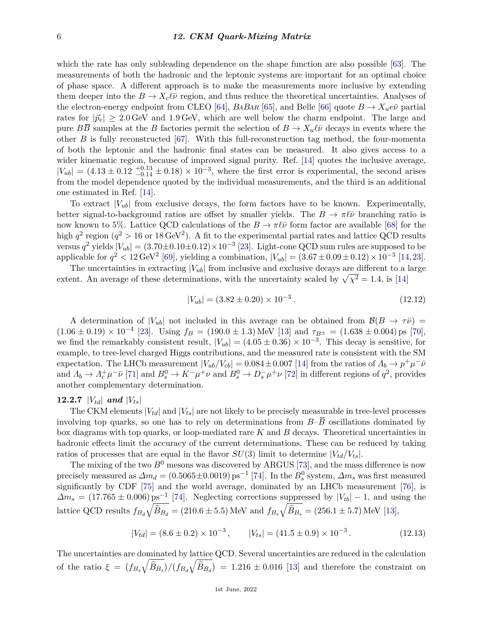which the rate has only subleading dependence on the shape function are also possible [\[63\]](#page-16-10). The measurements of both the hadronic and the leptonic systems are important for an optimal choice of phase space. A different approach is to make the measurements more inclusive by extending them deeper into the  $B \to X_c \ell \bar{\nu}$  region, and thus reduce the theoretical uncertainties. Analyses of the electron-energy endpoint from CLEO [\[64\]](#page-16-11), *BABAR* [\[65\]](#page-16-12), and Belle [\[66\]](#page-16-13) quote  $B \to X_u e \bar{\nu}$  partial rates for  $|\vec{p}_e| \geq 2.0$  GeV and 1.9 GeV, which are well below the charm endpoint. The large and pure  $B\overline{B}$  samples at the *B* factories permit the selection of  $B \to X_u \ell \overline{\nu}$  decays in events where the other *B* is fully reconstructed [\[67\]](#page-16-14). With this full-reconstruction tag method, the four-momenta of both the leptonic and the hadronic final states can be measured. It also gives access to a wider kinematic region, because of improved signal purity. Ref. [\[14\]](#page-14-17) quotes the inclusive average,  $|V_{ub}| = (4.13 \pm 0.12 \frac{+0.13}{-0.14} \pm 0.18) \times 10^{-3}$ , where the first error is experimental, the second arises from the model dependence quoted by the individual measurements, and the third is an additional one estimated in Ref. [\[14\]](#page-14-17).

To extract  $|V_{ub}|$  from exclusive decays, the form factors have to be known. Experimentally, better signal-to-background ratios are offset by smaller yields. The  $B \to \pi \ell \bar{\nu}$  branching ratio is now known to 5%. Lattice QCD calculations of the  $B \to \pi \ell \bar{\nu}$  form factor are available [\[68\]](#page-16-15) for the high  $q^2$  region  $(q^2 > 16$  or  $18 \text{ GeV}^2)$ . A fit to the experimental partial rates and lattice QCD results versus  $q^2$  yields  $|V_{ub}| = (3.70 \pm 0.10 \pm 0.12) \times 10^{-3}$  [\[23\]](#page-15-2). Light-cone QCD sum rules are supposed to be applicable for  $q^2 < 12 \text{ GeV}^2$  [\[69\]](#page-16-16), yielding a combination,  $|V_{ub}| = (3.67 \pm 0.09 \pm 0.12) \times 10^{-3}$  [\[14,](#page-14-17) [23\]](#page-15-2).

The uncertainties in extracting  $|V_{ub}|$  from inclusive and exclusive decays are different to a large extent. An average of these determinations, with the uncertainty scaled by  $\sqrt{\chi^2} = 1.4$ , is [\[14\]](#page-14-17)

$$
|V_{ub}| = (3.82 \pm 0.20) \times 10^{-3}.
$$
\n(12.12)

A determination of  $|V_{ub}|$  not included in this average can be obtained from  $\mathcal{B}(B \to \tau\bar{\nu})$  =  $(1.06 \pm 0.19) \times 10^{-4}$  [\[23\]](#page-15-2). Using  $f_B = (190.0 \pm 1.3)$  MeV [\[13\]](#page-14-11) and  $\tau_{B^{\pm}} = (1.638 \pm 0.004)$  ps [\[70\]](#page-16-17), we find the remarkably consistent result,  $|V_{ub}| = (4.05 \pm 0.36) \times 10^{-3}$ . This decay is sensitive, for example, to tree-level charged Higgs contributions, and the measured rate is consistent with the SM expectation. The LHCb measurement  $|V_{ub}/V_{cb}| = 0.084 \pm 0.007$  [\[14\]](#page-14-17) from the ratios of  $\Lambda_b \to p^+\mu^-\bar{\nu}$ and  $A_b \to A_c^+\mu^-\bar{\nu}$  [\[71\]](#page-16-18) and  $B_s^0 \to K^-\mu^+\nu$  and  $B_s^0 \to D_s^-\mu^+\nu$  [\[72\]](#page-16-19) in different regions of  $q^2$ , provides another complementary determination.

### **12.2.7**  $|V_{td}|$  **and**  $|V_{ts}|$

The CKM elements  $|V_{td}|$  and  $|V_{ts}|$  are not likely to be precisely measurable in tree-level processes involving top quarks, so one has to rely on determinations from  $B-\overline{B}$  oscillations dominated by box diagrams with top quarks, or loop-mediated rare *K* and *B* decays. Theoretical uncertainties in hadronic effects limit the accuracy of the current determinations. These can be reduced by taking ratios of processes that are equal in the flavor  $SU(3)$  limit to determine  $|V_{td}/V_{ts}|$ .

The mixing of the two  $B^0$  mesons was discovered by ARGUS [\[73\]](#page-16-20), and the mass difference is now precisely measured as  $\Delta m_d = (0.5065 \pm 0.0019) \text{ ps}^{-1}$  [\[74\]](#page-16-21). In the  $B_s^0$  system,  $\Delta m_s$  was first measured significantly by CDF [\[75\]](#page-16-22) and the world average, dominated by an LHCb measurement [\[76\]](#page-16-23), is  $\Delta m_s = (17.765 \pm 0.006) \text{ ps}^{-1}$  [\[74\]](#page-16-21). Neglecting corrections suppressed by  $|V_{tb}| - 1$ , and using the lattice QCD results  $f_{B_d} \sqrt{\hat{B}_{B_d}} = (210.6 \pm 5.5) \text{ MeV}$  and  $f_{B_s} \sqrt{\hat{B}_{B_s}} = (256.1 \pm 5.7) \text{ MeV}$  [\[13\]](#page-14-11),

$$
|V_{td}| = (8.6 \pm 0.2) \times 10^{-3}, \qquad |V_{ts}| = (41.5 \pm 0.9) \times 10^{-3}. \tag{12.13}
$$

The uncertainties are dominated by lattice QCD. Several uncertainties are reduced in the calculation of the ratio  $\xi = (f_{B_s}\sqrt{\hat{B}_{B_s}})/(f_{B_d}\sqrt{\hat{B}_{B_d}}) = 1.216 \pm 0.016$  [\[13\]](#page-14-11) and therefore the constraint on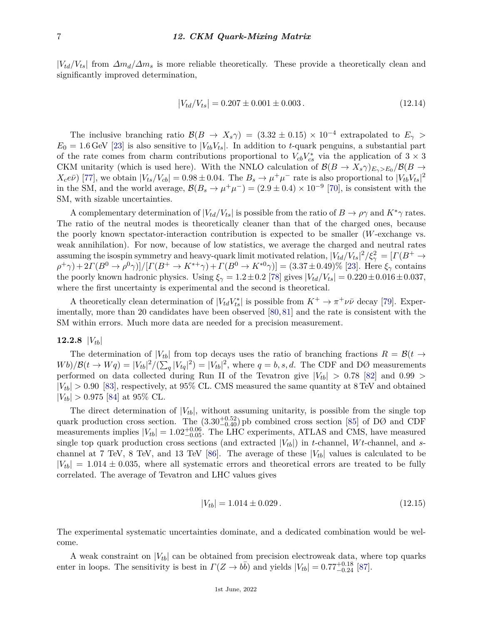$|V_{td}/V_{ts}|$  from  $\Delta m_d/\Delta m_s$  is more reliable theoretically. These provide a theoretically clean and significantly improved determination,

$$
|V_{td}/V_{ts}| = 0.207 \pm 0.001 \pm 0.003. \qquad (12.14)
$$

The inclusive branching ratio  $\mathcal{B}(B \to X_s \gamma) = (3.32 \pm 0.15) \times 10^{-4}$  extrapolated to  $E_\gamma >$  $E_0 = 1.6$  GeV [\[23\]](#page-15-2) is also sensitive to  $|V_{tb}V_{ts}|$ . In addition to *t*-quark penguins, a substantial part of the rate comes from charm contributions proportional to  $V_{cb}V_{cs}^*$  via the application of  $3 \times 3$ CKM unitarity (which is used here). With the NNLO calculation of  $\mathcal{B}(B \to X_s \gamma)_{E_\gamma>E_0}/\mathcal{B}(B \to$  $X_c e \bar{\nu}$  [\[77\]](#page-16-24), we obtain  $|V_{ts}/V_{cb}| = 0.98 \pm 0.04$ . The  $B_s \to \mu^+ \mu^-$  rate is also proportional to  $|V_{tb} V_{ts}|^2$ in the SM, and the world average,  $\mathcal{B}(B_s \to \mu^+\mu^-) = (2.9 \pm 0.4) \times 10^{-9}$  [\[70\]](#page-16-17), is consistent with the SM, with sizable uncertainties.

A complementary determination of  $|V_{td}/V_{ts}|$  is possible from the ratio of  $B \to \rho \gamma$  and  $K^* \gamma$  rates. The ratio of the neutral modes is theoretically cleaner than that of the charged ones, because the poorly known spectator-interaction contribution is expected to be smaller (*W*-exchange vs. weak annihilation). For now, because of low statistics, we average the charged and neutral rates assuming the isospin symmetry and heavy-quark limit motivated relation,  $|V_{td}/V_{ts}|^2/\xi_\gamma^2 = [ \Gamma(B^+ \to$  $(\rho^+ \gamma) + 2\Gamma(B^0 \to \rho^0 \gamma)/[\Gamma(B^+ \to K^{*+} \gamma) + \Gamma(B^0 \to K^{*0} \gamma)] = (3.37 \pm 0.49)\%$  [\[23\]](#page-15-2). Here  $\xi_{\gamma}$  contains the poorly known hadronic physics. Using  $\xi_{\gamma} = 1.2 \pm 0.2$  [\[78\]](#page-16-25) gives  $|V_{td}/V_{ts}| = 0.220 \pm 0.016 \pm 0.037$ , where the first uncertainty is experimental and the second is theoretical.

A theoretically clean determination of  $|V_{td}V_{ts}^*|$  is possible from  $K^+ \to \pi^+ \nu \bar{\nu}$  decay [\[79\]](#page-17-0). Experimentally, more than 20 candidates have been observed [\[80,](#page-17-1) [81\]](#page-17-2) and the rate is consistent with the SM within errors. Much more data are needed for a precision measurement.

## **12.2.8** |*Vtb*|

The determination of  $|V_{tb}|$  from top decays uses the ratio of branching fractions  $R = \mathcal{B}(t \rightarrow$  $Wb)/\mathcal{B}(t \to Wq) = |V_{tb}|^2/(\sum_q |V_{tq}|^2) = |V_{tb}|^2$ , where  $q = b, s, d$ . The CDF and DØ measurements performed on data collected during Run II of the Tevatron give  $|V_{tb}| > 0.78$  [\[82\]](#page-17-3) and 0.99 >  $|V_{tb}| > 0.90$  [\[83\]](#page-17-4), respectively, at 95% CL. CMS measured the same quantity at 8 TeV and obtained  $|V_{th}| > 0.975$  [\[84\]](#page-17-5) at 95% CL.

The direct determination of  $|V_{tb}|$ , without assuming unitarity, is possible from the single top quark production cross section. The  $(3.30^{+0.52}_{-0.40})$  pb combined cross section [\[85\]](#page-17-6) of DØ and CDF measurements implies  $|V_{tb}| = 1.02_{-0.05}^{+0.06}$ . The LHC experiments, ATLAS and CMS, have measured single top quark production cross sections (and extracted  $|V_{tb}|$ ) in *t*-channel, *Wt*-channel, and *s*-channel at 7 TeV, 8 TeV, and 13 TeV [\[86\]](#page-17-7). The average of these  $|V_{tb}|$  values is calculated to be  $|V_{tb}| = 1.014 \pm 0.035$ , where all systematic errors and theoretical errors are treated to be fully correlated. The average of Tevatron and LHC values gives

$$
|V_{tb}| = 1.014 \pm 0.029. \tag{12.15}
$$

The experimental systematic uncertainties dominate, and a dedicated combination would be welcome.

A weak constraint on  $|V_{tb}|$  can be obtained from precision electroweak data, where top quarks enter in loops. The sensitivity is best in  $\Gamma(Z \to b\bar{b})$  and yields  $|V_{tb}| = 0.77^{+0.18}_{-0.24}$  [\[87\]](#page-17-8).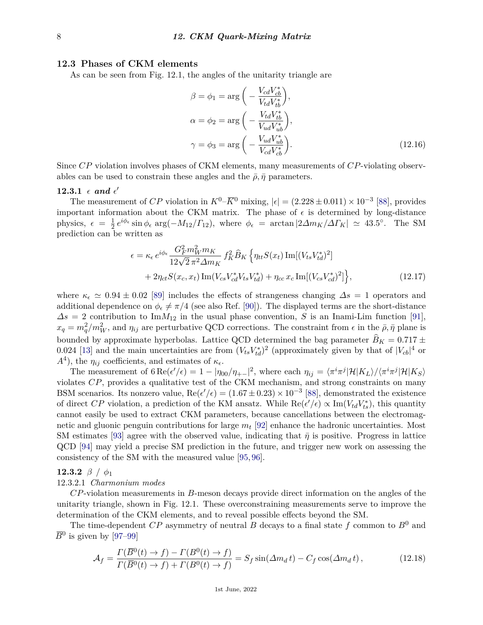### **12.3 Phases of CKM elements**

As can be seen from Fig. 12.1, the angles of the unitarity triangle are

$$
\beta = \phi_1 = \arg\left(-\frac{V_{cd}V_{cb}^*}{V_{td}V_{tb}^*}\right),
$$
  
\n
$$
\alpha = \phi_2 = \arg\left(-\frac{V_{td}V_{tb}^*}{V_{ud}V_{ub}^*}\right),
$$
  
\n
$$
\gamma = \phi_3 = \arg\left(-\frac{V_{ud}V_{ub}^*}{V_{cd}V_{cb}^*}\right).
$$
\n(12.16)

Since *CP* violation involves phases of CKM elements, many measurements of *CP*-violating observables can be used to constrain these angles and the  $\bar{\rho}, \bar{\eta}$  parameters.

# $12.3.1 \epsilon$  and  $\epsilon'$

The measurement of *CP* violation in  $K^0$ – $\overline{K}^0$  mixing,  $|\epsilon| = (2.228 \pm 0.011) \times 10^{-3}$  [\[88\]](#page-17-9), provides important information about the CKM matrix. The phase of  $\epsilon$  is determined by long-distance physics,  $\epsilon = \frac{1}{2}$  $\frac{1}{2}e^{i\phi_{\epsilon}}\sin\phi_{\epsilon} \arg(-M_{12}/\Gamma_{12}),$  where  $\phi_{\epsilon} = \arctan\left|2\Delta m_K/\Delta\Gamma_K\right| \simeq 43.5^{\circ}$ . The SM prediction can be written as

$$
\epsilon = \kappa_{\epsilon} e^{i\phi_{\epsilon}} \frac{G_F^2 m_W^2 m_K}{12\sqrt{2} \pi^2 \Delta m_K} f_K^2 \hat{B}_K \left\{ \eta_{tt} S(x_t) \operatorname{Im}[(V_{ts} V_{td}^*)^2] + 2\eta_{ct} S(x_c, x_t) \operatorname{Im}(V_{cs} V_{cd}^* V_{td}) + \eta_{cc} x_c \operatorname{Im}[(V_{cs} V_{cd}^*)^2] \right\},
$$
\n(12.17)

where  $\kappa_{\epsilon} \simeq 0.94 \pm 0.02$  [\[89\]](#page-17-10) includes the effects of strangeness changing  $\Delta s = 1$  operators and additional dependence on  $\phi_{\epsilon} \neq \pi/4$  (see also Ref. [\[90\]](#page-17-11)). The displayed terms are the short-distance  $\Delta s = 2$  contribution to Im $M_{12}$  in the usual phase convention, *S* is an Inami-Lim function [\[91\]](#page-17-12),  $x_q = m_q^2/m_W^2$ , and  $\eta_{ij}$  are perturbative QCD corrections. The constraint from  $\epsilon$  in the  $\bar{\rho}, \bar{\eta}$  plane is bounded by approximate hyperbolas. Lattice QCD determined the bag parameter  $\widehat{B}_K = 0.717 \pm$ 0.024 [\[13\]](#page-14-11) and the main uncertainties are from  $(V_{ts}V_{td}^*)^2$  (approximately given by that of  $|V_{cb}|^4$  or *A*<sup>4</sup>), the  $\eta_{ij}$  coefficients, and estimates of  $\kappa_{\epsilon}$ .

The measurement of  $6 \text{ Re}(\epsilon'/\epsilon) = 1 - |\eta_{00}/\eta_{+-}|^2$ , where each  $\eta_{ij} = \langle \pi^i \pi^j | \mathcal{H} | K_L \rangle / \langle \pi^i \pi^j | \mathcal{H} | K_S \rangle$ violates *CP*, provides a qualitative test of the CKM mechanism, and strong constraints on many BSM scenarios. Its nonzero value,  $\text{Re}(\epsilon'/\epsilon) = (1.67 \pm 0.23) \times 10^{-3}$  [\[88\]](#page-17-9), demonstrated the existence of direct *CP* violation, a prediction of the KM ansatz. While  $\text{Re}(\epsilon'/\epsilon) \propto \text{Im}(V_{td}V_{ts}^*)$ , this quantity cannot easily be used to extract CKM parameters, because cancellations between the electromagnetic and gluonic penguin contributions for large *m<sup>t</sup>* [\[92\]](#page-17-13) enhance the hadronic uncertainties. Most SM estimates [\[93\]](#page-17-14) agree with the observed value, indicating that  $\bar{\eta}$  is positive. Progress in lattice QCD [\[94\]](#page-17-15) may yield a precise SM prediction in the future, and trigger new work on assessing the consistency of the SM with the measured value [\[95,](#page-17-16) [96\]](#page-17-17).

## **12.3.2** *β / φ*<sup>1</sup>

#### 12.3.2.1 *Charmonium modes*

*CP*-violation measurements in *B*-meson decays provide direct information on the angles of the unitarity triangle, shown in Fig. 12.1. These overconstraining measurements serve to improve the determination of the CKM elements, and to reveal possible effects beyond the SM.

The time-dependent  $CP$  asymmetry of neutral  $B$  decays to a final state  $f$  common to  $B^0$  and  $\overline{B}^0$  is given by [\[97](#page-17-18)[–99\]](#page-17-19)

$$
\mathcal{A}_f = \frac{\Gamma(\overline{B}^0(t) \to f) - \Gamma(B^0(t) \to f)}{\Gamma(\overline{B}^0(t) \to f) + \Gamma(B^0(t) \to f)} = S_f \sin(\Delta m_d t) - C_f \cos(\Delta m_d t), \qquad (12.18)
$$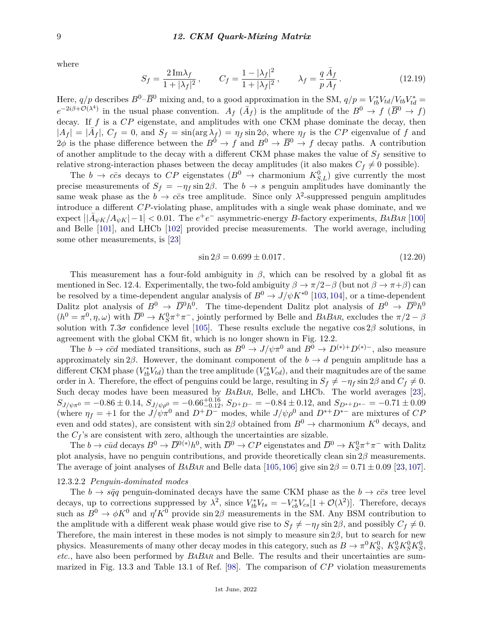where

$$
S_f = \frac{2 \,\text{Im}\lambda_f}{1 + |\lambda_f|^2} \,, \qquad C_f = \frac{1 - |\lambda_f|^2}{1 + |\lambda_f|^2} \,, \qquad \lambda_f = \frac{q}{p} \frac{\bar{A}_f}{A_f} \,. \tag{12.19}
$$

Here,  $q/p$  describes  $B^0-\overline{B}^0$  mixing and, to a good approximation in the SM,  $q/p = V_{tb}^*V_{td}/V_{tb}V_{td}^*$  $e^{-2i\beta+\mathcal{O}(\lambda^4)}$  in the usual phase convention.  $A_f(\bar{A}_f)$  is the amplitude of the  $B^0 \to f(\bar{B}^0 \to f)$ decay. If *f* is a *CP* eigenstate, and amplitudes with one CKM phase dominate the decay, then  $|A_f| = |\bar{A}_f|$ ,  $C_f = 0$ , and  $S_f = \sin(\arg \lambda_f) = \eta_f \sin 2\phi$ , where  $\eta_f$  is the *CP* eigenvalue of *f* and  $2\phi$  is the phase difference between the  $B^0 \to f$  and  $B^0 \to \overline{B}^0 \to f$  decay paths. A contribution of another amplitude to the decay with a different CKM phase makes the value of  $S_f$  sensitive to relative strong-interaction phases between the decay amplitudes (it also makes  $C_f \neq 0$  possible).

The  $b \to c\bar{c}s$  decays to  $CP$  eigenstates  $(B^0 \to \text{charmonium } K_{S,L}^0)$  give currently the most precise measurements of  $S_f = -\eta_f \sin 2\beta$ . The *b*  $\rightarrow s$  penguin amplitudes have dominantly the same weak phase as the  $b \to c\bar{c}s$  tree amplitude. Since only  $\lambda^2$ -suppressed penguin amplitudes introduce a different *CP*-violating phase, amplitudes with a single weak phase dominate, and we  $\exp\left(\frac{1}{4}\psi_K/A_{\psi K}\right)-1\right]<0.01$ . The  $e^+e^-$  asymmetric-energy *B*-factory experiments, *BABAR* [\[100\]](#page-17-20) and Belle [\[101\]](#page-17-21), and LHCb [\[102\]](#page-17-22) provided precise measurements. The world average, including some other measurements, is [\[23\]](#page-15-2)

$$
\sin 2\beta = 0.699 \pm 0.017. \tag{12.20}
$$

This measurement has a four-fold ambiguity in *β*, which can be resolved by a global fit as mentioned in Sec. 12.4. Experimentally, the two-fold ambiguity  $\beta \to \pi/2-\beta$  (but not  $\beta \to \pi+\beta$ ) can be resolved by a time-dependent angular analysis of  $B^0 \to J/\psi K^{*0}$  [\[103,](#page-18-0)[104\]](#page-18-1), or a time-dependent Dalitz plot analysis of  $B^0 \to \overline{D}^0 h^0$ . The time-dependent Dalitz plot analysis of  $B^0 \to \overline{D}^0 h^0$  $(h^0 = \pi^0, \eta, \omega)$  with  $\overline{D}^0 \to K_S^0 \pi^+ \pi^-$ , jointly performed by Belle and *BABAR*, excludes the  $\pi/2 - \beta$ solution with 7.3*σ* confidence level [\[105\]](#page-18-2). These results exclude the negative cos  $2\beta$  solutions, in agreement with the global CKM fit, which is no longer shown in Fig. 12.2.

The *b*  $\rightarrow$  *c* $\bar{c}d$  mediated transitions, such as  $B^0 \rightarrow J/\psi \pi^0$  and  $B^0 \rightarrow D^{(*)+}D^{(*)-}$ , also measure approximately sin 2 $\beta$ . However, the dominant component of the *b*  $\rightarrow$  *d* penguin amplitude has a different CKM phase  $(V_{tb}^*V_{td})$  than the tree amplitude  $(V_{cb}^*V_{cd})$ , and their magnitudes are of the same order in  $\lambda$ . Therefore, the effect of penguins could be large, resulting in  $S_f \neq -\eta_f \sin 2\beta$  and  $C_f \neq 0$ . Such decay modes have been measured by *BABAR*, Belle, and LHCb. The world averages [\[23\]](#page-15-2),  $S_{J/\psi\pi^0} = -0.86 \pm 0.14$ ,  $S_{J/\psi\rho^0} = -0.66^{+0.16}_{-0.12}$ ,  $S_{D^+D^-} = -0.84 \pm 0.12$ , and  $S_{D^{*+}D^{*-}} = -0.71 \pm 0.09$ (where  $\eta_f = +1$  for the  $J/\psi \pi^0$  and  $D^+D^-$  modes, while  $J/\psi \rho^0$  and  $D^{*+}D^{*-}$  are mixtures of *CP* even and odd states), are consistent with  $\sin 2\beta$  obtained from  $B^0 \to \alpha$  charmonium  $K^0$  decays, and the  $C_f$ 's are consistent with zero, although the uncertainties are sizable.

The  $b \to c\bar{u}d$  decays  $B^0 \to \overline{D}^{0(*)}h^0$ , with  $\overline{D}^0 \to CP$  eigenstates and  $\overline{D}^0 \to K_S^0\pi^+\pi^-$  with Dalitz plot analysis, have no penguin contributions, and provide theoretically clean sin 2*β* measurements. The average of joint analyses of *BABAR* and Belle data [\[105,](#page-18-2)[106\]](#page-18-3) give  $\sin 2\beta = 0.71 \pm 0.09$  [\[23,](#page-15-2)[107\]](#page-18-4).

### 12.3.2.2 *Penguin-dominated modes*

The  $b \to s\bar{q}q$  penguin-dominated decays have the same CKM phase as the  $b \to c\bar{c}s$  tree level decays, up to corrections suppressed by  $\lambda^2$ , since  $V_{tb}^* V_{ts} = -V_{cb}^* V_{cs} [1 + \mathcal{O}(\lambda^2)]$ . Therefore, decays such as  $B^0 \to \phi K^0$  and  $\eta' K^0$  provide sin 2 $\beta$  measurements in the SM. Any BSM contribution to the amplitude with a different weak phase would give rise to  $S_f \neq -\eta_f \sin 2\beta$ , and possibly  $C_f \neq 0$ . Therefore, the main interest in these modes is not simply to measure sin 2*β*, but to search for new physics. Measurements of many other decay modes in this category, such as  $B \to \pi^0 K_S^0$ ,  $K_S^0 K_S^0 K_S^0$ , *etc.*, have also been performed by *BABAR* and Belle. The results and their uncertainties are summarized in Fig. 13.3 and Table 13.1 of Ref. [\[98\]](#page-17-23). The comparison of *CP* violation measurements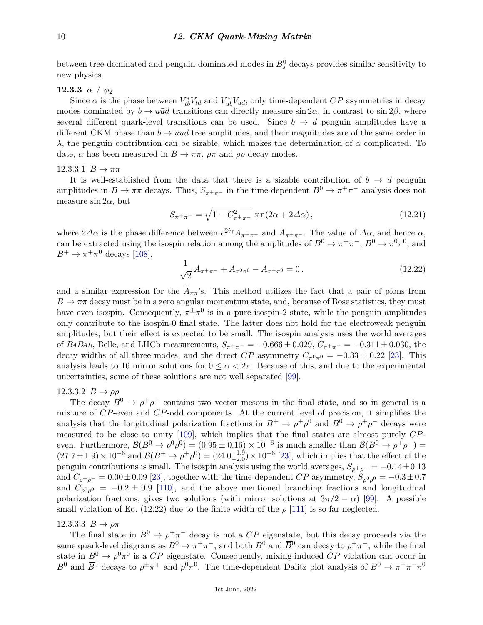between tree-dominated and penguin-dominated modes in  $B_s^0$  decays provides similar sensitivity to new physics.

**12.3.3** *α / φ*<sup>2</sup>

Since  $\alpha$  is the phase between  $V_{tb}^* V_{td}$  and  $V_{ub}^* V_{ud}$ , only time-dependent  $CP$  asymmetries in decay modes dominated by  $b \to u\bar{u}d$  transitions can directly measure  $\sin 2\alpha$ , in contrast to  $\sin 2\beta$ , where several different quark-level transitions can be used. Since  $b \to d$  penguin amplitudes have a different CKM phase than  $b \to u\bar{u}d$  tree amplitudes, and their magnitudes are of the same order in *λ*, the penguin contribution can be sizable, which makes the determination of *α* complicated. To date,  $\alpha$  has been measured in  $B \to \pi \pi$ ,  $\rho \pi$  and  $\rho \rho$  decay modes.

## $12.3.3.1 \, B \to \pi\pi$

It is well-established from the data that there is a sizable contribution of  $b \rightarrow d$  penguin amplitudes in  $B \to \pi\pi$  decays. Thus,  $S_{\pi^+\pi^-}$  in the time-dependent  $B^0 \to \pi^+\pi^-$  analysis does not measure  $\sin 2\alpha$ , but

$$
S_{\pi^+\pi^-} = \sqrt{1 - C_{\pi^+\pi^-}^2} \sin(2\alpha + 2\Delta\alpha), \qquad (12.21)
$$

where  $2\Delta\alpha$  is the phase difference between  $e^{2i\gamma}\bar{A}_{\pi^+\pi^-}$  and  $A_{\pi^+\pi^-}$ . The value of  $\Delta\alpha$ , and hence  $\alpha$ , can be extracted using the isospin relation among the amplitudes of  $B^0 \to \pi^+\pi^-$ ,  $B^0 \to \pi^0\pi^0$ , and  $B^+ \to \pi^+\pi^0$  decays [\[108\]](#page-18-5),

$$
\frac{1}{\sqrt{2}} A_{\pi^+\pi^-} + A_{\pi^0\pi^0} - A_{\pi^+\pi^0} = 0, \qquad (12.22)
$$

and a similar expression for the  $\bar{A}_{\pi\pi}$ 's. This method utilizes the fact that a pair of pions from  $B \to \pi\pi$  decay must be in a zero angular momentum state, and, because of Bose statistics, they must have even isospin. Consequently,  $\pi^{\pm} \pi^{0}$  is in a pure isospin-2 state, while the penguin amplitudes only contribute to the isospin-0 final state. The latter does not hold for the electroweak penguin amplitudes, but their effect is expected to be small. The isospin analysis uses the world averages of *BABAR*, Belle, and LHCb measurements,  $S_{\pi^+\pi^-} = -0.666 \pm 0.029$ ,  $C_{\pi^+\pi^-} = -0.311 \pm 0.030$ , the decay widths of all three modes, and the direct *CP* asymmetry  $C_{\pi^0\pi^0} = -0.33 \pm 0.22$  [\[23\]](#page-15-2). This analysis leads to 16 mirror solutions for  $0 \leq \alpha < 2\pi$ . Because of this, and due to the experimental uncertainties, some of these solutions are not well separated [\[99\]](#page-17-19).

# 12.3.3.2  $B \rightarrow \rho \rho$

The decay  $B^0 \to \rho^+ \rho^-$  contains two vector mesons in the final state, and so in general is a mixture of *CP*-even and *CP*-odd components. At the current level of precision, it simplifies the analysis that the longitudinal polarization fractions in  $B^+ \to \rho^+ \rho^0$  and  $B^0 \to \rho^+ \rho^-$  decays were measured to be close to unity [\[109\]](#page-18-6), which implies that the final states are almost purely *CP*even. Furthermore,  $\mathcal{B}(B^0 \to \rho^0 \rho^0) = (0.95 \pm 0.16) \times 10^{-6}$  is much smaller than  $\mathcal{B}(B^0 \to \rho^+ \rho^-) =$  $(27.7 \pm 1.9) \times 10^{-6}$  and  $\mathcal{B}(B^+ \to \rho^+ \rho^0) = (24.0^{+1.9}_{-2.0}) \times 10^{-6}$  [\[23\]](#page-15-2), which implies that the effect of the penguin contributions is small. The isospin analysis using the world averages,  $S_{\rho^+\rho^-} = -0.14 \pm 0.13$ and  $C_{\rho^+\rho^-} = 0.00 \pm 0.09$  [\[23\]](#page-15-2), together with the time-dependent  $CP$  asymmetry,  $S_{\rho^0\rho^0} = -0.3 \pm 0.7$ and  $C_{\rho^0\rho^0} = -0.2 \pm 0.9$  [\[110\]](#page-18-7), and the above mentioned branching fractions and longitudinal polarization fractions, gives two solutions (with mirror solutions at  $3\pi/2 - \alpha$ ) [\[99\]](#page-17-19). A possible small violation of Eq. (12.22) due to the finite width of the  $\rho$  [\[111\]](#page-18-8) is so far neglected.

## 12.3.3.3  $B \to \rho \pi$

The final state in  $B^0 \to \rho^+\pi^-$  decay is not a *CP* eigenstate, but this decay proceeds via the same quark-level diagrams as  $B^0 \to \pi^+\pi^-$ , and both  $B^0$  and  $\overline{B}^0$  can decay to  $\rho^+\pi^-$ , while the final state in  $B^0 \to \rho^0 \pi^0$  is a *CP* eigenstate. Consequently, mixing-induced *CP* violation can occur in *B*<sup>0</sup> and  $\overline{B}$ <sup>0</sup> decays to  $\rho^{\pm} \pi^{\mp}$  and  $\rho^0 \pi^0$ . The time-dependent Dalitz plot analysis of  $B^0 \to \pi^+ \pi^- \pi^0$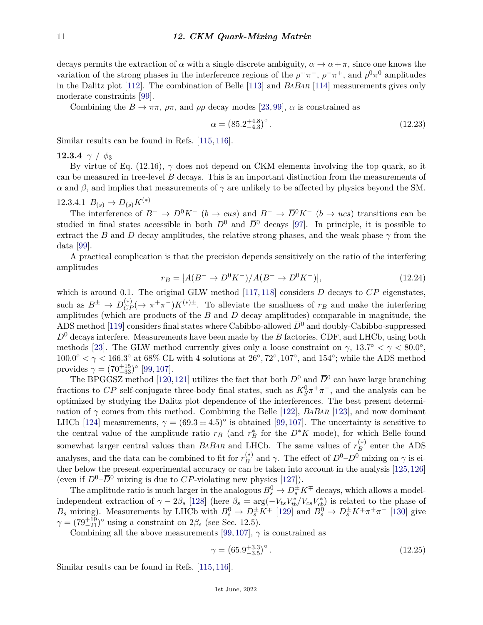decays permits the extraction of  $\alpha$  with a single discrete ambiguity,  $\alpha \to \alpha + \pi$ , since one knows the variation of the strong phases in the interference regions of the  $\rho^+\pi^-$ ,  $\rho^-\pi^+$ , and  $\rho^0\pi^0$  amplitudes in the Dalitz plot [\[112\]](#page-18-9). The combination of Belle [\[113\]](#page-18-10) and *BABAR* [\[114\]](#page-18-11) measurements gives only moderate constraints [\[99\]](#page-17-19).

Combining the  $B \to \pi \pi$ ,  $\rho \pi$ , and  $\rho \rho$  decay modes [\[23,](#page-15-2) [99\]](#page-17-19),  $\alpha$  is constrained as

$$
\alpha = (85.2^{+4.8}_{-4.3})^{\circ} \,. \tag{12.23}
$$

Similar results can be found in Refs. [\[115,](#page-18-12) [116\]](#page-18-13).

**12.3.4**  $\gamma$  /  $\phi_3$ 

By virtue of Eq. (12.16),  $\gamma$  does not depend on CKM elements involving the top quark, so it can be measured in tree-level *B* decays. This is an important distinction from the measurements of *α* and *β*, and implies that measurements of *γ* are unlikely to be affected by physics beyond the SM.

12.3.4.1 
$$
B_{(s)} \to D_{(s)} K^{(*)}
$$

The interference of  $B^- \to D^0 K^-$  (*b* → *cus*) and  $B^- \to \overline{D}^0 K^-$  (*b* → *ucs*) transitions can be studied in final states accessible in both  $D^0$  and  $\overline{D}^0$  decays [\[97\]](#page-17-18). In principle, it is possible to extract the *B* and *D* decay amplitudes, the relative strong phases, and the weak phase  $\gamma$  from the data [\[99\]](#page-17-19).

A practical complication is that the precision depends sensitively on the ratio of the interfering amplitudes

$$
r_B = |A(B^- \to \overline{D}^0 K^-)/A(B^- \to D^0 K^-)|, \qquad (12.24)
$$

which is around 0.1. The original GLW method [\[117,](#page-18-14) [118\]](#page-18-15) considers *D* decays to *CP* eigenstates, such as  $B^{\pm} \to D_{CP}^{(*)}(\to \pi^+\pi^-)K^{(*)\pm}$ . To alleviate the smallness of  $r_B$  and make the interfering amplitudes (which are products of the *B* and *D* decay amplitudes) comparable in magnitude, the ADS method [\[119\]](#page-18-16) considers final states where Cabibbo-allowed  $\overline{D}^0$  and doubly-Cabibbo-suppressed *D*<sup>0</sup> decays interfere. Measurements have been made by the *B* factories, CDF, and LHCb, using both methods [\[23\]](#page-15-2). The GLW method currently gives only a loose constraint on  $\gamma$ , 13.7° <  $\gamma$  < 80.0°,  $100.0^{\circ} < \gamma < 166.3^{\circ}$  at  $68\%$  CL with 4 solutions at  $26^{\circ}, 72^{\circ}, 107^{\circ}$ , and  $154^{\circ}$ ; while the ADS method provides  $\gamma = (70^{+15}_{-33})^{\circ}$  [\[99,](#page-17-19) [107\]](#page-18-4).

The BPGGSZ method [\[120,](#page-18-17)[121\]](#page-18-18) utilizes the fact that both  $D^0$  and  $\overline{D}{}^0$  can have large branching fractions to *CP* self-conjugate three-body final states, such as  $K_S^0 \pi^+ \pi^-$ , and the analysis can be optimized by studying the Dalitz plot dependence of the interferences. The best present determination of *γ* comes from this method. Combining the Belle [\[122\]](#page-18-19), *BABAR* [\[123\]](#page-18-20), and now dominant LHCb [\[124\]](#page-18-21) measurements,  $\gamma = (69.3 \pm 4.5)^\circ$  is obtained [\[99,](#page-17-19) [107\]](#page-18-4). The uncertainty is sensitive to the central value of the amplitude ratio  $r_B$  (and  $r_B^*$  for the  $D^*K$  mode), for which Belle found somewhat larger central values than *BABAR* and LHCb. The same values of  $r_B^{(*)}$  $B$ <sup>(\*)</sup> enter the ADS analyses, and the data can be combined to fit for  $r_B^{(*)}$ <sup>(\*)</sup> and *γ*. The effect of  $D^0$ – $\overline{D}^0$  mixing on *γ* is either below the present experimental accuracy or can be taken into account in the analysis [\[125,](#page-18-22)[126\]](#page-18-23) (even if  $D^0$ – $\overline{D}^0$  mixing is due to *CP*-violating new physics [\[127\]](#page-18-24)).

The amplitude ratio is much larger in the analogous  $B_s^0 \to D_s^{\pm} K^{\mp}$  decays, which allows a modelindependent extraction of  $\gamma - 2\beta_s$  [\[128\]](#page-18-25) (here  $\beta_s = \arg(-V_{ts}V_{tb}^*/V_{cs}V_{cb}^*)$  is related to the phase of *B*<sub>s</sub> mixing). Measurements by LHCb with  $B_s^0 \to D_s^{\pm} K^{\mp}$  [\[129\]](#page-18-26) and  $B_s^0 \to D_s^{\pm} K^{\mp} \pi^+ \pi^-$  [\[130\]](#page-18-27) give  $\gamma = (79^{+19}_{-21})^{\circ}$  using a constraint on  $2\beta_s$  (see Sec. 12.5).

Combining all the above measurements [\[99,](#page-17-19) [107\]](#page-18-4),  $\gamma$  is constrained as

$$
\gamma = \left(65.9^{+3.3}_{-3.5}\right)^{\circ}.\tag{12.25}
$$

Similar results can be found in Refs. [\[115,](#page-18-12) [116\]](#page-18-13).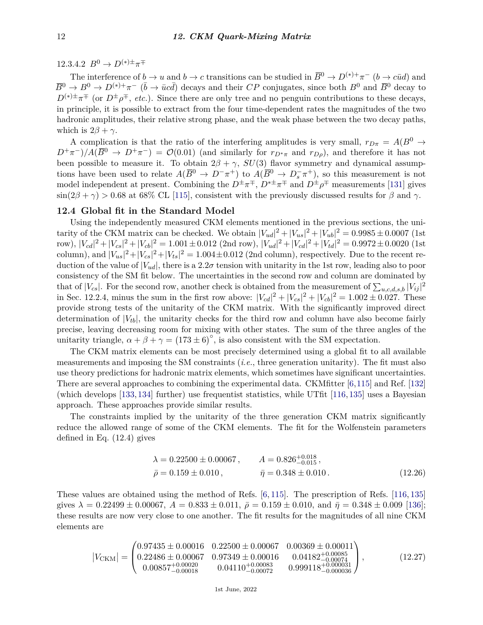12.3.4.2  $B^0 \to D^{(*) \pm} \pi^{\mp}$ 

The interference of  $b \to u$  and  $b \to c$  transitions can be studied in  $\overline{B}^0 \to D^{(*)+}\pi^-$  ( $b \to c\bar{u}d$ ) and  $\overline{B}^0 \to B^0 \to D^{(*)+}\pi^-$  ( $\overline{b} \to \overline{u}c\overline{d}$ ) decays and their *CP* conjugates, since both  $B^0$  and  $\overline{B}^0$  decay to  $D^{(*)\pm} \pi^{\mp}$  (or  $D^{\pm} \rho^{\mp}$ , *etc.*). Since there are only tree and no penguin contributions to these decays, in principle, it is possible to extract from the four time-dependent rates the magnitudes of the two hadronic amplitudes, their relative strong phase, and the weak phase between the two decay paths, which is  $2\beta + \gamma$ .

A complication is that the ratio of the interfering amplitudes is very small,  $r_{D\pi} = A(B^0 \rightarrow$  $D^+\pi^-)/A(\overline{B}^0 \to D^+\pi^-) = \mathcal{O}(0.01)$  (and similarly for  $r_{D^*\pi}$  and  $r_{D\rho}$ ), and therefore it has not been possible to measure it. To obtain  $2\beta + \gamma$ ,  $SU(3)$  flavor symmetry and dynamical assumptions have been used to relate  $A(\overline{B}^0 \to D^- \pi^+)$  to  $A(\overline{B}^0 \to D_s^- \pi^+)$ , so this measurement is not model independent at present. Combining the  $D^{\pm}\pi^{\mp}$ ,  $D^{*\pm}\pi^{\mp}$  and  $D^{\pm}\rho^{\mp}$  measurements [\[131\]](#page-19-0) gives  $\sin(2\beta + \gamma) > 0.68$  at 68% CL [\[115\]](#page-18-12), consistent with the previously discussed results for  $\beta$  and  $\gamma$ .

## **12.4 Global fit in the Standard Model**

Using the independently measured CKM elements mentioned in the previous sections, the unitarity of the CKM matrix can be checked. We obtain  $|V_{ud}|^2 + |V_{us}|^2 + |V_{ub}|^2 = 0.9985 \pm 0.0007$  (1st row),  $|V_{cd}|^2 + |V_{cs}|^2 + |V_{cb}|^2 = 1.001 \pm 0.012$  (2nd row),  $|V_{ud}|^2 + |V_{cd}|^2 + |V_{td}|^2 = 0.9972 \pm 0.0020$  (1st column), and  $|V_{us}|^2 + |V_{cs}|^2 + |V_{ts}|^2 = 1.004 \pm 0.012$  (2nd column), respectively. Due to the recent reduction of the value of  $|V_{ud}|$ , there is a 2.2 $\sigma$  tension with unitarity in the 1st row, leading also to poor consistency of the SM fit below. The uncertainties in the second row and column are dominated by that of  $|V_{cs}|$ . For the second row, another check is obtained from the measurement of  $\sum_{u,c,d,s,b} |V_{ij}|^2$ in Sec. 12.2.4, minus the sum in the first row above:  $|V_{cd}|^2 + |V_{cs}|^2 + |V_{cb}|^2 = 1.002 \pm 0.027$ . These provide strong tests of the unitarity of the CKM matrix. With the significantly improved direct determination of  $|V_{tb}|$ , the unitarity checks for the third row and column have also become fairly precise, leaving decreasing room for mixing with other states. The sum of the three angles of the unitarity triangle,  $\alpha + \beta + \gamma = (173 \pm 6)^{\circ}$ , is also consistent with the SM expectation.

The CKM matrix elements can be most precisely determined using a global fit to all available measurements and imposing the SM constraints (*i.e.*, three generation unitarity). The fit must also use theory predictions for hadronic matrix elements, which sometimes have significant uncertainties. There are several approaches to combining the experimental data. CKMfitter [\[6,](#page-14-4)[115\]](#page-18-12) and Ref. [\[132\]](#page-19-1) (which develops [\[133,](#page-19-2) [134\]](#page-19-3) further) use frequentist statistics, while UTfit [\[116,](#page-18-13) [135\]](#page-19-4) uses a Bayesian approach. These approaches provide similar results.

The constraints implied by the unitarity of the three generation CKM matrix significantly reduce the allowed range of some of the CKM elements. The fit for the Wolfenstein parameters defined in Eq. (12.4) gives

$$
\lambda = 0.22500 \pm 0.00067, \qquad A = 0.826_{-0.015}^{+0.018}, \n\bar{\rho} = 0.159 \pm 0.010, \qquad \bar{\eta} = 0.348 \pm 0.010.
$$
\n(12.26)

These values are obtained using the method of Refs. [\[6,](#page-14-4) [115\]](#page-18-12). The prescription of Refs. [\[116,](#page-18-13) [135\]](#page-19-4) gives  $\lambda = 0.22499 \pm 0.00067$ ,  $A = 0.833 \pm 0.011$ ,  $\bar{\rho} = 0.159 \pm 0.010$ , and  $\bar{\eta} = 0.348 \pm 0.009$  [\[136\]](#page-19-5); these results are now very close to one another. The fit results for the magnitudes of all nine CKM elements are

$$
|V_{\text{CKM}}| = \begin{pmatrix} 0.97435 \pm 0.00016 & 0.22500 \pm 0.00067 & 0.00369 \pm 0.00011 \\ 0.22486 \pm 0.00067 & 0.97349 \pm 0.00016 & 0.04182_{-0.00074}^{+0.00085} \\ 0.00857_{-0.00018}^{+0.00020} & 0.04110_{-0.00072}^{+0.00083} & 0.999118_{-0.000036}^{+0.000031} \end{pmatrix},
$$
(12.27)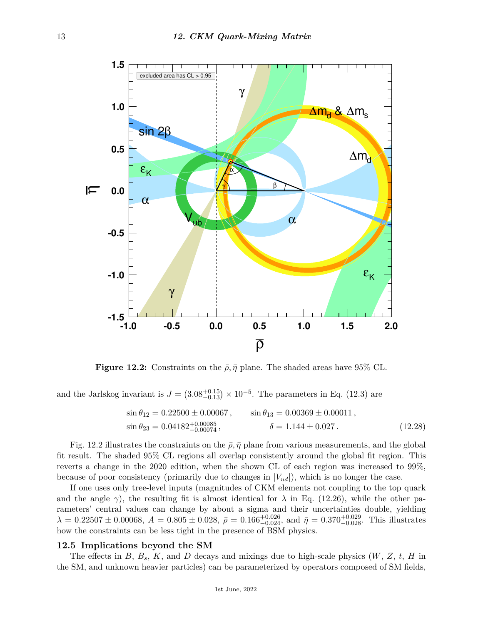

**Figure 12.2:** Constraints on the  $\bar{\rho}$ ,  $\bar{\eta}$  plane. The shaded areas have 95% CL.

and the Jarlskog invariant is  $J = (3.08^{+0.15}_{-0.13}) \times 10^{-5}$ . The parameters in Eq. (12.3) are

$$
\sin \theta_{12} = 0.22500 \pm 0.00067, \qquad \sin \theta_{13} = 0.00369 \pm 0.00011, \n\sin \theta_{23} = 0.04182^{+0.00085}_{-0.00074}, \qquad \delta = 1.144 \pm 0.027.
$$
\n(12.28)

Fig. 12.2 illustrates the constraints on the  $\bar{\rho}$ ,  $\bar{\eta}$  plane from various measurements, and the global fit result. The shaded 95% CL regions all overlap consistently around the global fit region. This reverts a change in the 2020 edition, when the shown CL of each region was increased to 99%, because of poor consistency (primarily due to changes in  $|V_{ud}|$ ), which is no longer the case.

If one uses only tree-level inputs (magnitudes of CKM elements not coupling to the top quark and the angle  $\gamma$ ), the resulting fit is almost identical for  $\lambda$  in Eq. (12.26), while the other parameters' central values can change by about a sigma and their uncertainties double, yielding  $\lambda = 0.22507 \pm 0.00068$ ,  $A = 0.805 \pm 0.028$ ,  $\bar{\rho} = 0.166^{+0.026}_{-0.024}$ , and  $\bar{\eta} = 0.370^{+0.029}_{-0.028}$ . This illustrates how the constraints can be less tight in the presence of BSM physics.

### **12.5 Implications beyond the SM**

The effects in *B*, *Bs*, *K*, and *D* decays and mixings due to high-scale physics (*W*, *Z*, *t*, *H* in the SM, and unknown heavier particles) can be parameterized by operators composed of SM fields,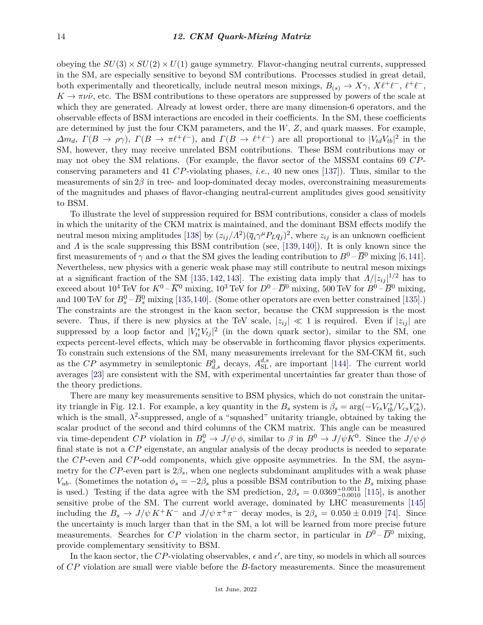obeying the  $SU(3) \times SU(2) \times U(1)$  gauge symmetry. Flavor-changing neutral currents, suppressed in the SM, are especially sensitive to beyond SM contributions. Processes studied in great detail, both experimentally and theoretically, include neutral meson mixings,  $B_{(s)} \to X\gamma$ ,  $X\ell^+\ell^-$ ,  $\ell^+\ell^-$ ,  $K \to \pi \nu \bar{\nu}$ , etc. The BSM contributions to these operators are suppressed by powers of the scale at which they are generated. Already at lowest order, there are many dimension-6 operators, and the observable effects of BSM interactions are encoded in their coefficients. In the SM, these coefficients are determined by just the four CKM parameters, and the *W*, *Z*, and quark masses. For example,  $\Delta m_d$ ,  $\Gamma(B \to \rho \gamma)$ ,  $\Gamma(B \to \pi \ell^+ \ell^-)$ , and  $\Gamma(B \to \ell^+ \ell^-)$  are all proportional to  $|V_{td} V_{tb}|^2$  in the SM, however, they may receive unrelated BSM contributions. These BSM contributions may or may not obey the SM relations. (For example, the flavor sector of the MSSM contains 69 *CP*conserving parameters and 41 *CP*-violating phases, *i.e.*, 40 new ones [\[137\]](#page-19-6)). Thus, similar to the measurements of sin 2*β* in tree- and loop-dominated decay modes, overconstraining measurements of the magnitudes and phases of flavor-changing neutral-current amplitudes gives good sensitivity to BSM.

To illustrate the level of suppression required for BSM contributions, consider a class of models in which the unitarity of the CKM matrix is maintained, and the dominant BSM effects modify the neutral meson mixing amplitudes [\[138\]](#page-19-7) by  $(z_{ij}/A^2)(\overline{q}_i \gamma^\mu P_L q_j)^2$ , where  $z_{ij}$  is an unknown coefficient and *Λ* is the scale suppressing this BSM contribution (see, [\[139,](#page-19-8) [140\]](#page-19-9)). It is only known since the first measurements of  $\gamma$  and  $\alpha$  that the SM gives the leading contribution to  $B^0 - \overline{B}{}^0$  mixing [\[6,](#page-14-4)[141\]](#page-19-10). Nevertheless, new physics with a generic weak phase may still contribute to neutral meson mixings at a significant fraction of the SM [\[135,](#page-19-4) [142,](#page-19-11) [143\]](#page-19-12). The existing data imply that  $\Lambda/|z_{ij}|^{1/2}$  has to exceed about  $10^4$  TeV for  $K^0$  –  $\overline{K}$ <sup>0</sup> mixing,  $10^3$  TeV for  $D^0$  –  $\overline{D}$ <sup>0</sup> mixing,  $500$  TeV for  $B^0$  –  $\overline{B}$ <sup>0</sup> mixing, and 100 TeV for  $B_s^0 - \overline{B}_s^0$  mixing [\[135,](#page-19-4)[140\]](#page-19-9). (Some other operators are even better constrained [\[135\]](#page-19-4).) The constraints are the strongest in the kaon sector, because the CKM suppression is the most severe. Thus, if there is new physics at the TeV scale,  $|z_{ij}| \ll 1$  is required. Even if  $|z_{ij}|$  are suppressed by a loop factor and  $|V_{ti}^* V_{tj}|^2$  (in the down quark sector), similar to the SM, one expects percent-level effects, which may be observable in forthcoming flavor physics experiments. To constrain such extensions of the SM, many measurements irrelevant for the SM-CKM fit, such as the *CP* asymmetry in semileptonic  $B_{d,s}^0$  decays,  $A_{\text{SL}}^{d,s}$ , are important [\[144\]](#page-19-13). The current world averages [\[23\]](#page-15-2) are consistent with the SM, with experimental uncertainties far greater than those of the theory predictions.

There are many key measurements sensitive to BSM physics, which do not constrain the unitarity triangle in Fig. 12.1. For example, a key quantity in the  $B_s$  system is  $\beta_s = \arg(-V_{ts}V_{tb}^*/V_{cs}V_{cb}^*)$ , which is the small,  $\lambda^2$ -suppressed, angle of a "squashed" unitarity triangle, obtained by taking the scalar product of the second and third columns of the CKM matrix. This angle can be measured via time-dependent *CP* violation in  $B_s^0 \to J/\psi \phi$ , similar to  $\beta$  in  $B^0 \to J/\psi K^0$ . Since the  $J/\psi \phi$ final state is not a *CP* eigenstate, an angular analysis of the decay products is needed to separate the *CP*-even and *CP*-odd components, which give opposite asymmetries. In the SM, the asymmetry for the *CP*-even part is 2*βs*, when one neglects subdominant amplitudes with a weak phase *V*<sub>ub</sub>. (Sometimes the notation  $\phi_s = -2\beta_s$  plus a possible BSM contribution to the  $B_s$  mixing phase is used.) Testing if the data agree with the SM prediction,  $2\beta_s = 0.0369^{+0.0011}_{-0.0010}$  [\[115\]](#page-18-12), is another sensitive probe of the SM. The current world average, dominated by LHC measurements [\[145\]](#page-19-14) including the  $B_s \to J/\psi K^+ K^-$  and  $J/\psi \pi^+ \pi^-$  decay modes, is  $2\beta_s = 0.050 \pm 0.019$  [\[74\]](#page-16-21). Since the uncertainty is much larger than that in the SM, a lot will be learned from more precise future measurements. Searches for *CP* violation in the charm sector, in particular in  $D^0$  –  $\overline{D}^0$  mixing, provide complementary sensitivity to BSM.

In the kaon sector, the CP-violating observables,  $\epsilon$  and  $\epsilon'$ , are tiny, so models in which all sources of *CP* violation are small were viable before the *B*-factory measurements. Since the measurement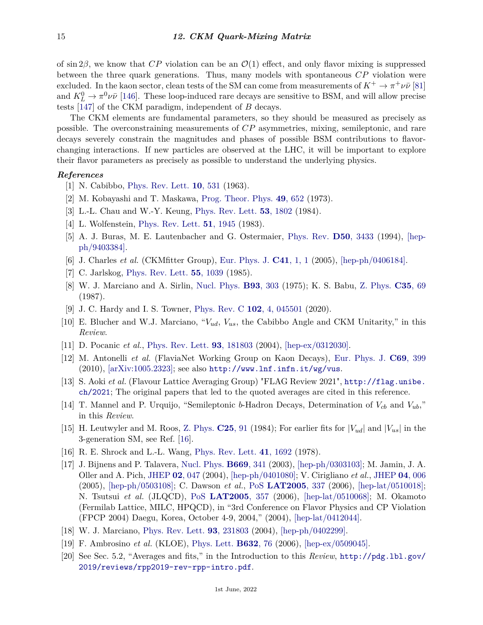of sin 2 $\beta$ , we know that *CP* violation can be an  $\mathcal{O}(1)$  effect, and only flavor mixing is suppressed between the three quark generations. Thus, many models with spontaneous *CP* violation were excluded. In the kaon sector, clean tests of the SM can come from measurements of  $K^+ \to \pi^+ \nu \bar{\nu}$  [\[81\]](#page-17-2) and  $K_L^0 \to \pi^0 \nu \bar{\nu}$  [\[146\]](#page-19-15). These loop-induced rare decays are sensitive to BSM, and will allow precise tests [\[147\]](#page-19-16) of the CKM paradigm, independent of *B* decays.

The CKM elements are fundamental parameters, so they should be measured as precisely as possible. The overconstraining measurements of *CP* asymmetries, mixing, semileptonic, and rare decays severely constrain the magnitudes and phases of possible BSM contributions to flavorchanging interactions. If new particles are observed at the LHC, it will be important to explore their flavor parameters as precisely as possible to understand the underlying physics.

## <span id="page-14-0"></span>*References*

- [1] N. Cabibbo, [Phys. Rev. Lett.](http://doi.org/10.1103/PhysRevLett.10.531) **10**[, 531](http://doi.org/10.1103/PhysRevLett.10.531) (1963).
- <span id="page-14-1"></span>[2] M. Kobayashi and T. Maskawa, [Prog. Theor. Phys.](http://doi.org/10.1143/PTP.49.652) **49**[, 652](http://doi.org/10.1143/PTP.49.652) (1973).
- <span id="page-14-2"></span>[3] L.-L. Chau and W.-Y. Keung, [Phys. Rev. Lett.](http://doi.org/10.1103/PhysRevLett.53.1802) **53**[, 1802](http://doi.org/10.1103/PhysRevLett.53.1802) (1984).
- <span id="page-14-3"></span>[4] L. Wolfenstein, [Phys. Rev. Lett.](http://doi.org/10.1103/PhysRevLett.51.1945) **51**[, 1945](http://doi.org/10.1103/PhysRevLett.51.1945) (1983).
- [5] A. J. Buras, M. E. Lautenbacher and G. Ostermaier, [Phys. Rev.](http://doi.org/10.1103/PhysRevD.50.3433) **D50**[, 3433](http://doi.org/10.1103/PhysRevD.50.3433) (1994), [\[hep](https://arxiv.org/abs/hep-ph/9403384)[ph/9403384\].](https://arxiv.org/abs/hep-ph/9403384)
- <span id="page-14-4"></span>[6] J. Charles *et al.* (CKMfitter Group), [Eur. Phys. J.](http://doi.org/10.1140/epjc/s2005-02169-1) **C41**[, 1, 1](http://doi.org/10.1140/epjc/s2005-02169-1) (2005), [\[hep-ph/0406184\].](https://arxiv.org/abs/hep-ph/0406184)
- <span id="page-14-5"></span>[7] C. Jarlskog, [Phys. Rev. Lett.](http://doi.org/10.1103/PhysRevLett.55.1039) **55**[, 1039](http://doi.org/10.1103/PhysRevLett.55.1039) (1985).
- <span id="page-14-6"></span>[8] W. J. Marciano and A. Sirlin, [Nucl. Phys.](http://doi.org/10.1016/0550-3213(75)90574-X) **B93**[, 303](http://doi.org/10.1016/0550-3213(75)90574-X) (1975); K. S. Babu, [Z. Phys.](http://doi.org/10.1007/BF01561056) **[C35](http://doi.org/10.1007/BF01561056)**, 69 (1987).
- <span id="page-14-7"></span>[9] J. C. Hardy and I. S. Towner, [Phys. Rev. C](http://doi.org/10.1103/PhysRevC.102.045501) **102**[, 4, 045501](http://doi.org/10.1103/PhysRevC.102.045501) (2020).
- <span id="page-14-8"></span>[10] E. Blucher and W.J. Marciano, "*Vud*, *Vus*, the Cabibbo Angle and CKM Unitarity," in this *Review*.
- <span id="page-14-9"></span>[11] D. Pocanic *et al.*, [Phys. Rev. Lett.](http://doi.org/10.1103/PhysRevLett.93.181803) **93**[, 181803](http://doi.org/10.1103/PhysRevLett.93.181803) (2004), [\[hep-ex/0312030\].](https://arxiv.org/abs/hep-ex/0312030)
- <span id="page-14-10"></span>[12] M. Antonelli *et al.* (FlaviaNet Working Group on Kaon Decays), [Eur. Phys. J.](http://doi.org/10.1140/epjc/s10052-010-1406-3) **C69**[, 399](http://doi.org/10.1140/epjc/s10052-010-1406-3)  $(2010)$ ,  $\ar{xiv:1005.2323}$ ; see also <http://www.lnf.infn.it/wg/vus>.
- <span id="page-14-11"></span>[13] S. Aoki *et al.* (Flavour Lattice Averaging Group) "FLAG Review 2021", [http://flag.unibe.](http://flag.unibe.ch/2021) [ch/2021](http://flag.unibe.ch/2021); The original papers that led to the quoted averages are cited in this reference.
- <span id="page-14-17"></span>[14] T. Mannel and P. Urquijo, "Semileptonic *b*-Hadron Decays, Determination of *Vcb* and *Vub*," in this *Review*.
- <span id="page-14-12"></span>[15] H. Leutwyler and M. Roos, [Z. Phys.](http://doi.org/10.1007/BF01571961) **[C25](http://doi.org/10.1007/BF01571961)**, 91 (1984); For earlier fits for  $|V_{ud}|$  and  $|V_{us}|$  in the 3-generation SM, see Ref. [\[16\]](#page-14-18).
- <span id="page-14-18"></span>[16] R. E. Shrock and L.-L. Wang, [Phys. Rev. Lett.](http://doi.org/10.1103/PhysRevLett.41.1692) **41**[, 1692](http://doi.org/10.1103/PhysRevLett.41.1692) (1978).
- <span id="page-14-13"></span>[17] J. Bijnens and P. Talavera, [Nucl. Phys.](http://doi.org/10.1016/S0550-3213(03)00581-9) **[B669](http://doi.org/10.1016/S0550-3213(03)00581-9)**, 341 (2003), [\[hep-ph/0303103\];](https://arxiv.org/abs/hep-ph/0303103) M. Jamin, J. A. Oller and A. Pich, [JHEP](http://doi.org/10.1088/1126-6708/2004/02/047) **02**[, 047](http://doi.org/10.1088/1126-6708/2004/02/047) (2004), [\[hep-ph/0401080\];](https://arxiv.org/abs/hep-ph/0401080) V. Cirigliano *et al.*, [JHEP](http://doi.org/10.1088/1126-6708/2005/04/006) **04**[, 006](http://doi.org/10.1088/1126-6708/2005/04/006) (2005), [\[hep-ph/0503108\];](https://arxiv.org/abs/hep-ph/0503108) C. Dawson *et al.*, [PoS](http://doi.org/10.22323/1.020.0337) **[LAT2005](http://doi.org/10.22323/1.020.0337)**, 337 (2006), [\[hep-lat/0510018\];](https://arxiv.org/abs/hep-lat/0510018) N. Tsutsui *et al.* (JLQCD), [PoS](http://doi.org/10.22323/1.020.0357) **[LAT2005](http://doi.org/10.22323/1.020.0357)**, 357 (2006), [\[hep-lat/0510068\];](https://arxiv.org/abs/hep-lat/0510068) M. Okamoto (Fermilab Lattice, MILC, HPQCD), in "3rd Conference on Flavor Physics and CP Violation (FPCP 2004) Daegu, Korea, October 4-9, 2004," (2004), [\[hep-lat/0412044\].](https://arxiv.org/abs/hep-lat/0412044)
- <span id="page-14-14"></span>[18] W. J. Marciano, [Phys. Rev. Lett.](http://doi.org/10.1103/PhysRevLett.93.231803) **93**[, 231803](http://doi.org/10.1103/PhysRevLett.93.231803) (2004), [\[hep-ph/0402299\].](https://arxiv.org/abs/hep-ph/0402299)
- <span id="page-14-15"></span>[19] F. Ambrosino *et al.* (KLOE), [Phys. Lett.](http://doi.org/10.1016/j.physletb.2005.11.008) **[B632](http://doi.org/10.1016/j.physletb.2005.11.008)**, 76 (2006), [\[hep-ex/0509045\].](https://arxiv.org/abs/hep-ex/0509045)
- <span id="page-14-16"></span>[20] See Sec. 5.2, "Averages and fits," in the Introduction to this *Review*, [http://pdg.lbl.gov/](http://pdg.lbl.gov/2019/reviews/rpp2019-rev-rpp-intro.pdf) [2019/reviews/rpp2019-rev-rpp-intro.pdf](http://pdg.lbl.gov/2019/reviews/rpp2019-rev-rpp-intro.pdf).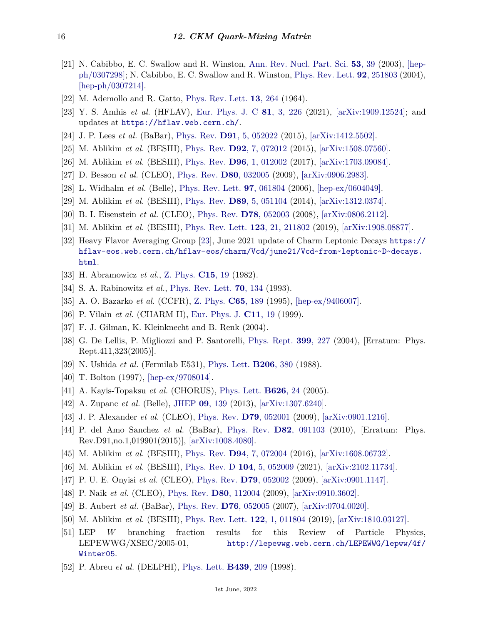- <span id="page-15-0"></span>[21] N. Cabibbo, E. C. Swallow and R. Winston, [Ann. Rev. Nucl. Part. Sci.](http://doi.org/10.1146/annurev.nucl.53.013103.155258) **53**[, 39](http://doi.org/10.1146/annurev.nucl.53.013103.155258) (2003), [\[hep](https://arxiv.org/abs/hep-ph/0307298)[ph/0307298\];](https://arxiv.org/abs/hep-ph/0307298) N. Cabibbo, E. C. Swallow and R. Winston, [Phys. Rev. Lett.](http://doi.org/10.1103/PhysRevLett.92.251803) **92**[, 251803](http://doi.org/10.1103/PhysRevLett.92.251803) (2004), [\[hep-ph/0307214\].](https://arxiv.org/abs/hep-ph/0307214)
- <span id="page-15-1"></span>[22] M. Ademollo and R. Gatto, [Phys. Rev. Lett.](http://doi.org/10.1103/PhysRevLett.13.264) **13**[, 264](http://doi.org/10.1103/PhysRevLett.13.264) (1964).
- <span id="page-15-2"></span>[23] Y. S. Amhis *et al.* (HFLAV), [Eur. Phys. J. C](http://doi.org/10.1140/epjc/s10052-020-8156-7) **81**[, 3, 226](http://doi.org/10.1140/epjc/s10052-020-8156-7) (2021), [\[arXiv:1909.12524\];](https://arxiv.org/abs/1909.12524) and updates at <https://hflav.web.cern.ch/>.
- <span id="page-15-3"></span>[24] J. P. Lees *et al.* (BaBar), [Phys. Rev.](http://doi.org/10.1103/PhysRevD.91.052022) **D91**[, 5, 052022](http://doi.org/10.1103/PhysRevD.91.052022) (2015), [\[arXiv:1412.5502\].](https://arxiv.org/abs/1412.5502)
- <span id="page-15-4"></span>[25] M. Ablikim *et al.* (BESIII), [Phys. Rev.](http://doi.org/10.1103/PhysRevD.92.072012) **D92**[, 7, 072012](http://doi.org/10.1103/PhysRevD.92.072012) (2015), [\[arXiv:1508.07560\].](https://arxiv.org/abs/1508.07560)
- <span id="page-15-5"></span>[26] M. Ablikim *et al.* (BESIII), [Phys. Rev.](http://doi.org/10.1103/PhysRevD.96.012002) **D96**[, 1, 012002](http://doi.org/10.1103/PhysRevD.96.012002) (2017), [\[arXiv:1703.09084\].](https://arxiv.org/abs/1703.09084)
- <span id="page-15-6"></span>[27] D. Besson *et al.* (CLEO), [Phys. Rev.](http://doi.org/10.1103/PhysRevD.80.032005) **D80**[, 032005](http://doi.org/10.1103/PhysRevD.80.032005) (2009), [\[arXiv:0906.2983\].](https://arxiv.org/abs/0906.2983)
- <span id="page-15-7"></span>[28] L. Widhalm *et al.* (Belle), [Phys. Rev. Lett.](http://doi.org/10.1103/PhysRevLett.97.061804) **97**[, 061804](http://doi.org/10.1103/PhysRevLett.97.061804) (2006), [\[hep-ex/0604049\].](https://arxiv.org/abs/hep-ex/0604049)
- <span id="page-15-8"></span>[29] M. Ablikim *et al.* (BESIII), [Phys. Rev.](http://doi.org/10.1103/PhysRevD.89.051104) **D89**[, 5, 051104](http://doi.org/10.1103/PhysRevD.89.051104) (2014), [\[arXiv:1312.0374\].](https://arxiv.org/abs/1312.0374)
- <span id="page-15-9"></span>[30] B. I. Eisenstein *et al.* (CLEO), [Phys. Rev.](http://doi.org/10.1103/PhysRevD.78.052003) **D78**[, 052003](http://doi.org/10.1103/PhysRevD.78.052003) (2008), [\[arXiv:0806.2112\].](https://arxiv.org/abs/0806.2112)
- <span id="page-15-10"></span>[31] M. Ablikim *et al.* (BESIII), [Phys. Rev. Lett.](http://doi.org/10.1103/PhysRevLett.123.211802) **123**[, 21, 211802](http://doi.org/10.1103/PhysRevLett.123.211802) (2019), [\[arXiv:1908.08877\].](https://arxiv.org/abs/1908.08877)
- <span id="page-15-11"></span>[32] Heavy Flavor Averaging Group [\[23\]](#page-15-2), June 2021 update of Charm Leptonic Decays [https://](https://hflav-eos.web.cern.ch/hflav-eos/charm/Vcd/june21/Vcd~from~leptonic~D~decays.html) [hflav-eos.web.cern.ch/hflav-eos/charm/Vcd/june21/Vcd~from~leptonic~D~decays.](https://hflav-eos.web.cern.ch/hflav-eos/charm/Vcd/june21/Vcd~from~leptonic~D~decays.html) [html](https://hflav-eos.web.cern.ch/hflav-eos/charm/Vcd/june21/Vcd~from~leptonic~D~decays.html).
- <span id="page-15-12"></span>[33] H. Abramowicz *et al.*, [Z. Phys.](http://doi.org/10.1007/BF01573422) **[C15](http://doi.org/10.1007/BF01573422)**, 19 (1982).
- <span id="page-15-13"></span>[34] S. A. Rabinowitz *et al.*, [Phys. Rev. Lett.](http://doi.org/10.1103/PhysRevLett.70.134) **70**[, 134](http://doi.org/10.1103/PhysRevLett.70.134) (1993).
- <span id="page-15-14"></span>[35] A. O. Bazarko *et al.* (CCFR), [Z. Phys.](http://doi.org/10.1007/BF01571875) **C65**[, 189](http://doi.org/10.1007/BF01571875) (1995), [\[hep-ex/9406007\].](https://arxiv.org/abs/hep-ex/9406007)
- <span id="page-15-15"></span>[36] P. Vilain *et al.* (CHARM II), [Eur. Phys. J.](http://doi.org/10.1007/s100520050611) **[C11](http://doi.org/10.1007/s100520050611)**, 19 (1999).
- <span id="page-15-16"></span>[37] F. J. Gilman, K. Kleinknecht and B. Renk (2004).
- <span id="page-15-17"></span>[38] G. De Lellis, P. Migliozzi and P. Santorelli, [Phys. Rept.](http://doi.org/10.1016/j.physrep.2005.02.001) **399**[, 227](http://doi.org/10.1016/j.physrep.2005.02.001) (2004), [Erratum: Phys. Rept.411,323(2005)].
- <span id="page-15-18"></span>[39] N. Ushida *et al.* (Fermilab E531), [Phys. Lett.](http://doi.org/10.1016/0370-2693(88)91526-2) **[B206](http://doi.org/10.1016/0370-2693(88)91526-2)**, 380 (1988).
- <span id="page-15-19"></span>[40] T. Bolton (1997), [\[hep-ex/9708014\].](https://arxiv.org/abs/hep-ex/9708014)
- <span id="page-15-20"></span>[41] A. Kayis-Topaksu *et al.* (CHORUS), [Phys. Lett.](http://doi.org/10.1016/j.physletb.2005.08.082) **[B626](http://doi.org/10.1016/j.physletb.2005.08.082)**, 24 (2005).
- <span id="page-15-21"></span>[42] A. Zupanc *et al.* (Belle), [JHEP](http://doi.org/10.1007/JHEP09(2013)139) **09**[, 139](http://doi.org/10.1007/JHEP09(2013)139) (2013), [\[arXiv:1307.6240\].](https://arxiv.org/abs/1307.6240)
- <span id="page-15-22"></span>[43] J. P. Alexander *et al.* (CLEO), [Phys. Rev.](http://doi.org/10.1103/PhysRevD.79.052001) **D79**[, 052001](http://doi.org/10.1103/PhysRevD.79.052001) (2009), [\[arXiv:0901.1216\].](https://arxiv.org/abs/0901.1216)
- <span id="page-15-23"></span>[44] P. del Amo Sanchez *et al.* (BaBar), [Phys. Rev.](http://doi.org/10.1103/PhysRevD.82.091103) **D82**[, 091103](http://doi.org/10.1103/PhysRevD.82.091103) (2010), [Erratum: Phys. Rev.D91,no.1,019901(2015)], [\[arXiv:1008.4080\].](https://arxiv.org/abs/1008.4080)
- <span id="page-15-24"></span>[45] M. Ablikim *et al.* (BESIII), [Phys. Rev.](http://doi.org/10.1103/PhysRevD.94.072004) **D94**[, 7, 072004](http://doi.org/10.1103/PhysRevD.94.072004) (2016), [\[arXiv:1608.06732\].](https://arxiv.org/abs/1608.06732)
- <span id="page-15-25"></span>[46] M. Ablikim *et al.* (BESIII), [Phys. Rev. D](http://doi.org/10.1103/PhysRevD.104.052009) **104**[, 5, 052009](http://doi.org/10.1103/PhysRevD.104.052009) (2021), [\[arXiv:2102.11734\].](https://arxiv.org/abs/2102.11734)
- <span id="page-15-26"></span>[47] P. U. E. Onyisi *et al.* (CLEO), [Phys. Rev.](http://doi.org/10.1103/PhysRevD.79.052002) **D79**[, 052002](http://doi.org/10.1103/PhysRevD.79.052002) (2009), [\[arXiv:0901.1147\].](https://arxiv.org/abs/0901.1147)
- <span id="page-15-27"></span>[48] P. Naik *et al.* (CLEO), [Phys. Rev.](http://doi.org/10.1103/PhysRevD.80.112004) **D80**[, 112004](http://doi.org/10.1103/PhysRevD.80.112004) (2009), [\[arXiv:0910.3602\].](https://arxiv.org/abs/0910.3602)
- <span id="page-15-28"></span>[49] B. Aubert *et al.* (BaBar), [Phys. Rev.](http://doi.org/10.1103/PhysRevD.76.052005) **D76**[, 052005](http://doi.org/10.1103/PhysRevD.76.052005) (2007), [\[arXiv:0704.0020\].](https://arxiv.org/abs/0704.0020)
- <span id="page-15-29"></span>[50] M. Ablikim *et al.* (BESIII), [Phys. Rev. Lett.](http://doi.org/10.1103/PhysRevLett.122.011804) **122**[, 1, 011804](http://doi.org/10.1103/PhysRevLett.122.011804) (2019), [\[arXiv:1810.03127\].](https://arxiv.org/abs/1810.03127)
- <span id="page-15-30"></span>[51] LEP *W* branching fraction results for this Review of Particle Physics, LEPEWWG/XSEC/2005-01, [http://lepewwg.web.cern.ch/LEPEWWG/lepww/4f/](http://lepewwg.web.cern.ch/LEPEWWG/lepww/4f/Winter05) [Winter05](http://lepewwg.web.cern.ch/LEPEWWG/lepww/4f/Winter05).
- <span id="page-15-31"></span>[52] P. Abreu *et al.* (DELPHI), [Phys. Lett.](http://doi.org/10.1016/S0370-2693(98)01061-2) **[B439](http://doi.org/10.1016/S0370-2693(98)01061-2)**, 209 (1998).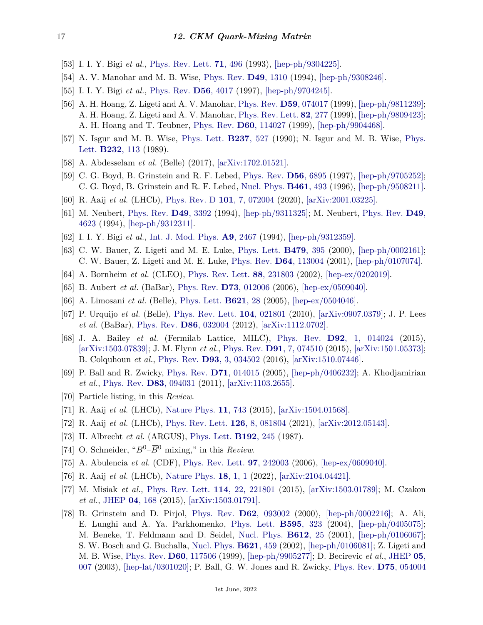- <span id="page-16-0"></span>[53] I. I. Y. Bigi *et al.*, [Phys. Rev. Lett.](http://doi.org/10.1103/PhysRevLett.71.496) **71**[, 496](http://doi.org/10.1103/PhysRevLett.71.496) (1993), [\[hep-ph/9304225\].](https://arxiv.org/abs/hep-ph/9304225)
- <span id="page-16-1"></span>[54] A. V. Manohar and M. B. Wise, [Phys. Rev.](http://doi.org/10.1103/PhysRevD.49.1310) **D49**[, 1310](http://doi.org/10.1103/PhysRevD.49.1310) (1994), [\[hep-ph/9308246\].](https://arxiv.org/abs/hep-ph/9308246)
- <span id="page-16-2"></span>[55] I. I. Y. Bigi *et al.*, [Phys. Rev.](http://doi.org/10.1103/PhysRevD.56.4017) **D56**[, 4017](http://doi.org/10.1103/PhysRevD.56.4017) (1997), [\[hep-ph/9704245\].](https://arxiv.org/abs/hep-ph/9704245)
- <span id="page-16-3"></span>[56] A. H. Hoang, Z. Ligeti and A. V. Manohar, [Phys. Rev.](http://doi.org/10.1103/PhysRevD.59.074017) **D59**[, 074017](http://doi.org/10.1103/PhysRevD.59.074017) (1999), [\[hep-ph/9811239\];](https://arxiv.org/abs/hep-ph/9811239) A. H. Hoang, Z. Ligeti and A. V. Manohar, [Phys. Rev. Lett.](http://doi.org/10.1103/PhysRevLett.82.277) **82**[, 277](http://doi.org/10.1103/PhysRevLett.82.277) (1999), [\[hep-ph/9809423\];](https://arxiv.org/abs/hep-ph/9809423) A. H. Hoang and T. Teubner, [Phys. Rev.](http://doi.org/10.1103/PhysRevD.60.114027) **D60**[, 114027](http://doi.org/10.1103/PhysRevD.60.114027) (1999), [\[hep-ph/9904468\].](https://arxiv.org/abs/hep-ph/9904468)
- <span id="page-16-4"></span>[57] N. Isgur and M. B. Wise, [Phys. Lett.](http://doi.org/10.1016/0370-2693(90)91219-2) **[B237](http://doi.org/10.1016/0370-2693(90)91219-2)**, 527 (1990); N. Isgur and M. B. Wise, [Phys.](http://doi.org/10.1016/0370-2693(89)90566-2) [Lett.](http://doi.org/10.1016/0370-2693(89)90566-2) **[B232](http://doi.org/10.1016/0370-2693(89)90566-2)**, 113 (1989).
- <span id="page-16-5"></span>[58] A. Abdesselam *et al.* (Belle) (2017), [\[arXiv:1702.01521\].](https://arxiv.org/abs/1702.01521)
- <span id="page-16-6"></span>[59] C. G. Boyd, B. Grinstein and R. F. Lebed, [Phys. Rev.](http://doi.org/10.1103/PhysRevD.56.6895) **D56**[, 6895](http://doi.org/10.1103/PhysRevD.56.6895) (1997), [\[hep-ph/9705252\];](https://arxiv.org/abs/hep-ph/9705252) C. G. Boyd, B. Grinstein and R. F. Lebed, [Nucl. Phys.](http://doi.org/10.1016/0550-3213(95)00653-2) **[B461](http://doi.org/10.1016/0550-3213(95)00653-2)**, 493 (1996), [\[hep-ph/9508211\].](https://arxiv.org/abs/hep-ph/9508211)
- <span id="page-16-7"></span>[60] R. Aaij *et al.* (LHCb), [Phys. Rev. D](http://doi.org/10.1103/PhysRevD.101.072004) **101**[, 7, 072004](http://doi.org/10.1103/PhysRevD.101.072004) (2020), [\[arXiv:2001.03225\].](https://arxiv.org/abs/2001.03225)
- <span id="page-16-8"></span>[61] M. Neubert, [Phys. Rev.](http://doi.org/10.1103/PhysRevD.49.3392) **D49**[, 3392](http://doi.org/10.1103/PhysRevD.49.3392) (1994), [\[hep-ph/9311325\];](https://arxiv.org/abs/hep-ph/9311325) M. Neubert, [Phys. Rev.](http://doi.org/10.1103/PhysRevD.49.4623) **[D49](http://doi.org/10.1103/PhysRevD.49.4623)**, [4623](http://doi.org/10.1103/PhysRevD.49.4623) (1994), [\[hep-ph/9312311\].](https://arxiv.org/abs/hep-ph/9312311)
- <span id="page-16-9"></span>[62] I. I. Y. Bigi *et al.*, [Int. J. Mod. Phys.](http://doi.org/10.1142/S0217751X94000996) **A9**[, 2467](http://doi.org/10.1142/S0217751X94000996) (1994), [\[hep-ph/9312359\].](https://arxiv.org/abs/hep-ph/9312359)
- <span id="page-16-10"></span>[63] C. W. Bauer, Z. Ligeti and M. E. Luke, [Phys. Lett.](http://doi.org/10.1016/S0370-2693(00)00318-X) **[B479](http://doi.org/10.1016/S0370-2693(00)00318-X)**, 395 (2000), [\[hep-ph/0002161\];](https://arxiv.org/abs/hep-ph/0002161) C. W. Bauer, Z. Ligeti and M. E. Luke, [Phys. Rev.](http://doi.org/10.1103/PhysRevD.64.113004) **D64**[, 113004](http://doi.org/10.1103/PhysRevD.64.113004) (2001), [\[hep-ph/0107074\].](https://arxiv.org/abs/hep-ph/0107074)
- <span id="page-16-11"></span>[64] A. Bornheim *et al.* (CLEO), [Phys. Rev. Lett.](http://doi.org/10.1103/PhysRevLett.88.231803) **88**[, 231803](http://doi.org/10.1103/PhysRevLett.88.231803) (2002), [\[hep-ex/0202019\].](https://arxiv.org/abs/hep-ex/0202019)
- <span id="page-16-12"></span>[65] B. Aubert *et al.* (BaBar), [Phys. Rev.](http://doi.org/10.1103/PhysRevD.73.012006) **D73**[, 012006](http://doi.org/10.1103/PhysRevD.73.012006) (2006), [\[hep-ex/0509040\].](https://arxiv.org/abs/hep-ex/0509040)
- <span id="page-16-13"></span>[66] A. Limosani *et al.* (Belle), [Phys. Lett.](http://doi.org/10.1016/j.physletb.2005.06.011) **[B621](http://doi.org/10.1016/j.physletb.2005.06.011)**, 28 (2005), [\[hep-ex/0504046\].](https://arxiv.org/abs/hep-ex/0504046)
- <span id="page-16-14"></span>[67] P. Urquijo *et al.* (Belle), [Phys. Rev. Lett.](http://doi.org/10.1103/PhysRevLett.104.021801) **104**[, 021801](http://doi.org/10.1103/PhysRevLett.104.021801) (2010), [\[arXiv:0907.0379\];](https://arxiv.org/abs/0907.0379) J. P. Lees *et al.* (BaBar), [Phys. Rev.](http://doi.org/10.1103/PhysRevD.86.032004) **D86**[, 032004](http://doi.org/10.1103/PhysRevD.86.032004) (2012), [\[arXiv:1112.0702\].](https://arxiv.org/abs/1112.0702)
- <span id="page-16-15"></span>[68] J. A. Bailey *et al.* (Fermilab Lattice, MILC), [Phys. Rev.](http://doi.org/10.1103/PhysRevD.92.014024) **D92**[, 1, 014024](http://doi.org/10.1103/PhysRevD.92.014024) (2015), [\[arXiv:1503.07839\];](https://arxiv.org/abs/1503.07839) J. M. Flynn *et al.*, [Phys. Rev.](http://doi.org/10.1103/PhysRevD.91.074510) **D91**[, 7, 074510](http://doi.org/10.1103/PhysRevD.91.074510) (2015), [\[arXiv:1501.05373\];](https://arxiv.org/abs/1501.05373) B. Colquhoun *et al.*, [Phys. Rev.](http://doi.org/10.1103/PhysRevD.93.034502) **D93**[, 3, 034502](http://doi.org/10.1103/PhysRevD.93.034502) (2016), [\[arXiv:1510.07446\].](https://arxiv.org/abs/1510.07446)
- <span id="page-16-16"></span>[69] P. Ball and R. Zwicky, [Phys. Rev.](http://doi.org/10.1103/PhysRevD.71.014015) **D71**[, 014015](http://doi.org/10.1103/PhysRevD.71.014015) (2005), [\[hep-ph/0406232\];](https://arxiv.org/abs/hep-ph/0406232) A. Khodjamirian *et al.*, [Phys. Rev.](http://doi.org/10.1103/PhysRevD.83.094031) **D83**[, 094031](http://doi.org/10.1103/PhysRevD.83.094031) (2011), [\[arXiv:1103.2655\].](https://arxiv.org/abs/1103.2655)
- <span id="page-16-17"></span>[70] Particle listing, in this *Review*.
- <span id="page-16-19"></span><span id="page-16-18"></span>[71] R. Aaij *et al.* (LHCb), [Nature Phys.](http://doi.org/10.1038/nphys3415) **11**[, 743](http://doi.org/10.1038/nphys3415) (2015), [\[arXiv:1504.01568\].](https://arxiv.org/abs/1504.01568)
- [72] R. Aaij *et al.* (LHCb), [Phys. Rev. Lett.](http://doi.org/10.1103/PhysRevLett.126.081804) **126**[, 8, 081804](http://doi.org/10.1103/PhysRevLett.126.081804) (2021), [\[arXiv:2012.05143\].](https://arxiv.org/abs/2012.05143)
- <span id="page-16-20"></span>[73] H. Albrecht *et al.* (ARGUS), [Phys. Lett.](http://doi.org/10.1016/0370-2693(87)91177-4) **[B192](http://doi.org/10.1016/0370-2693(87)91177-4)**, 245 (1987).
- <span id="page-16-21"></span>[74] O. Schneider, " $B^0$ – $\overline{B}^0$  mixing," in this *Review*.
- <span id="page-16-22"></span>[75] A. Abulencia *et al.* (CDF), [Phys. Rev. Lett.](http://doi.org/10.1103/PhysRevLett.97.242003) **97**[, 242003](http://doi.org/10.1103/PhysRevLett.97.242003) (2006), [\[hep-ex/0609040\].](https://arxiv.org/abs/hep-ex/0609040)
- <span id="page-16-23"></span>[76] R. Aaij *et al.* (LHCb), [Nature Phys.](http://doi.org/10.1038/s41567-021-01394-x) **18**[, 1, 1](http://doi.org/10.1038/s41567-021-01394-x) (2022), [\[arXiv:2104.04421\].](https://arxiv.org/abs/2104.04421)
- <span id="page-16-24"></span>[77] M. Misiak *et al.*, [Phys. Rev. Lett.](http://doi.org/10.1103/PhysRevLett.114.221801) **114**[, 22, 221801](http://doi.org/10.1103/PhysRevLett.114.221801) (2015), [\[arXiv:1503.01789\];](https://arxiv.org/abs/1503.01789) M. Czakon *et al.*, [JHEP](http://doi.org/10.1007/JHEP04(2015)168) **04**[, 168](http://doi.org/10.1007/JHEP04(2015)168) (2015), [\[arXiv:1503.01791\].](https://arxiv.org/abs/1503.01791)
- <span id="page-16-25"></span>[78] B. Grinstein and D. Pirjol, [Phys. Rev.](http://doi.org/10.1103/PhysRevD.62.093002) **D62**[, 093002](http://doi.org/10.1103/PhysRevD.62.093002) (2000), [\[hep-ph/0002216\];](https://arxiv.org/abs/hep-ph/0002216) A. Ali, E. Lunghi and A. Ya. Parkhomenko, [Phys. Lett.](http://doi.org/10.1016/j.physletb.2004.06.039) **[B595](http://doi.org/10.1016/j.physletb.2004.06.039)**, 323 (2004), [\[hep-ph/0405075\];](https://arxiv.org/abs/hep-ph/0405075) M. Beneke, T. Feldmann and D. Seidel, [Nucl. Phys.](http://doi.org/10.1016/S0550-3213(01)00366-2) **[B612](http://doi.org/10.1016/S0550-3213(01)00366-2)**, 25 (2001), [\[hep-ph/0106067\];](https://arxiv.org/abs/hep-ph/0106067) S. W. Bosch and G. Buchalla, [Nucl. Phys.](http://doi.org/10.1016/S0550-3213(01)00580-6) **[B621](http://doi.org/10.1016/S0550-3213(01)00580-6)**, 459 (2002), [\[hep-ph/0106081\];](https://arxiv.org/abs/hep-ph/0106081) Z. Ligeti and M. B. Wise, [Phys. Rev.](http://doi.org/10.1103/PhysRevD.60.117506) **D60**[, 117506](http://doi.org/10.1103/PhysRevD.60.117506) (1999), [\[hep-ph/9905277\];](https://arxiv.org/abs/hep-ph/9905277) D. Becirevic *et al.*, [JHEP](http://doi.org/10.1088/1126-6708/2003/05/007) **[05](http://doi.org/10.1088/1126-6708/2003/05/007)**, [007](http://doi.org/10.1088/1126-6708/2003/05/007) (2003), [\[hep-lat/0301020\];](https://arxiv.org/abs/hep-lat/0301020) P. Ball, G. W. Jones and R. Zwicky, [Phys. Rev.](http://doi.org/10.1103/PhysRevD.75.054004) **D75**[, 054004](http://doi.org/10.1103/PhysRevD.75.054004)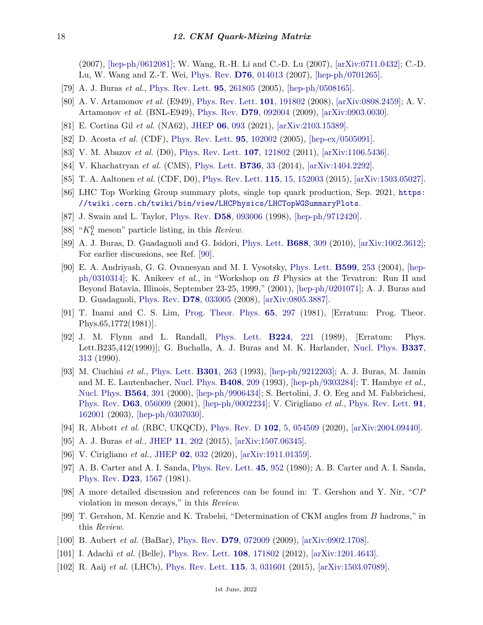(2007), [\[hep-ph/0612081\];](https://arxiv.org/abs/hep-ph/0612081) W. Wang, R.-H. Li and C.-D. Lu (2007), [\[arXiv:0711.0432\];](https://arxiv.org/abs/0711.0432) C.-D. Lu, W. Wang and Z.-T. Wei, [Phys. Rev.](http://doi.org/10.1103/PhysRevD.76.014013) **D76**[, 014013](http://doi.org/10.1103/PhysRevD.76.014013) (2007), [\[hep-ph/0701265\].](https://arxiv.org/abs/hep-ph/0701265)

- <span id="page-17-0"></span>[79] A. J. Buras *et al.*, [Phys. Rev. Lett.](http://doi.org/10.1103/PhysRevLett.95.261805) **95**[, 261805](http://doi.org/10.1103/PhysRevLett.95.261805) (2005), [\[hep-ph/0508165\].](https://arxiv.org/abs/hep-ph/0508165)
- <span id="page-17-1"></span>[80] A. V. Artamonov *et al.* (E949), [Phys. Rev. Lett.](http://doi.org/10.1103/PhysRevLett.101.191802) **101**[, 191802](http://doi.org/10.1103/PhysRevLett.101.191802) (2008), [\[arXiv:0808.2459\];](https://arxiv.org/abs/0808.2459) A. V. Artamonov *et al.* (BNL-E949), [Phys. Rev.](http://doi.org/10.1103/PhysRevD.79.092004) **D79**[, 092004](http://doi.org/10.1103/PhysRevD.79.092004) (2009), [\[arXiv:0903.0030\].](https://arxiv.org/abs/0903.0030)
- <span id="page-17-2"></span>[81] E. Cortina Gil *et al.* (NA62), [JHEP](http://doi.org/10.1007/JHEP06(2021)093) **06**[, 093](http://doi.org/10.1007/JHEP06(2021)093) (2021), [\[arXiv:2103.15389\].](https://arxiv.org/abs/2103.15389)
- <span id="page-17-3"></span>[82] D. Acosta *et al.* (CDF), [Phys. Rev. Lett.](http://doi.org/10.1103/PhysRevLett.95.102002) **95**[, 102002](http://doi.org/10.1103/PhysRevLett.95.102002) (2005), [\[hep-ex/0505091\].](https://arxiv.org/abs/hep-ex/0505091)
- <span id="page-17-4"></span>[83] V. M. Abazov *et al.* (D0), [Phys. Rev. Lett.](http://doi.org/10.1103/PhysRevLett.107.121802) **107**[, 121802](http://doi.org/10.1103/PhysRevLett.107.121802) (2011), [\[arXiv:1106.5436\].](https://arxiv.org/abs/1106.5436)
- <span id="page-17-5"></span>[84] V. Khachatryan *et al.* (CMS), [Phys. Lett.](http://doi.org/10.1016/j.physletb.2014.06.076) **[B736](http://doi.org/10.1016/j.physletb.2014.06.076)**, 33 (2014), [\[arXiv:1404.2292\].](https://arxiv.org/abs/1404.2292)
- <span id="page-17-6"></span>[85] T. A. Aaltonen *et al.* (CDF, D0), [Phys. Rev. Lett.](http://doi.org/10.1103/PhysRevLett.115.152003) **115**[, 15, 152003](http://doi.org/10.1103/PhysRevLett.115.152003) (2015), [\[arXiv:1503.05027\].](https://arxiv.org/abs/1503.05027)
- <span id="page-17-7"></span>[86] LHC Top Working Group summary plots, single top quark production, Sep. 2021, [https:](https://twiki.cern.ch/twiki/bin/view/LHCPhysics/LHCTopWGSummaryPlots) [//twiki.cern.ch/twiki/bin/view/LHCPhysics/LHCTopWGSummaryPlots](https://twiki.cern.ch/twiki/bin/view/LHCPhysics/LHCTopWGSummaryPlots).
- <span id="page-17-8"></span>[87] J. Swain and L. Taylor, [Phys. Rev.](http://doi.org/10.1103/PhysRevD.58.093006) **D58**[, 093006](http://doi.org/10.1103/PhysRevD.58.093006) (1998), [\[hep-ph/9712420\].](https://arxiv.org/abs/hep-ph/9712420)
- <span id="page-17-9"></span>[88] " $K_L^0$  meson" particle listing, in this *Review*.
- <span id="page-17-10"></span>[89] A. J. Buras, D. Guadagnoli and G. Isidori, [Phys. Lett.](http://doi.org/10.1016/j.physletb.2010.04.017) **[B688](http://doi.org/10.1016/j.physletb.2010.04.017)**, 309 (2010), [\[arXiv:1002.3612\];](https://arxiv.org/abs/1002.3612) For earlier discussions, see Ref. [\[90\]](#page-17-11).
- <span id="page-17-11"></span>[90] E. A. Andriyash, G. G. Ovanesyan and M. I. Vysotsky, [Phys. Lett.](http://doi.org/10.1016/j.physletb.2004.08.056) **[B599](http://doi.org/10.1016/j.physletb.2004.08.056)**, 253 (2004), [\[hep](https://arxiv.org/abs/hep-ph/0310314)[ph/0310314\];](https://arxiv.org/abs/hep-ph/0310314) K. Anikeev *et al.*, in "Workshop on *B* Physics at the Tevatron: Run II and Beyond Batavia, Illinois, September 23-25, 1999," (2001), [\[hep-ph/0201071\];](https://arxiv.org/abs/hep-ph/0201071) A. J. Buras and D. Guadagnoli, [Phys. Rev.](http://doi.org/10.1103/PhysRevD.78.033005) **D78**[, 033005](http://doi.org/10.1103/PhysRevD.78.033005) (2008), [\[arXiv:0805.3887\].](https://arxiv.org/abs/0805.3887)
- <span id="page-17-12"></span>[91] T. Inami and C. S. Lim, [Prog. Theor. Phys.](http://doi.org/10.1143/PTP.65.297) **65**[, 297](http://doi.org/10.1143/PTP.65.297) (1981), [Erratum: Prog. Theor. Phys.65,1772(1981)].
- <span id="page-17-13"></span>[92] J. M. Flynn and L. Randall, [Phys. Lett.](http://doi.org/10.1016/0370-2693(89)91078-2) **B224**[, 221](http://doi.org/10.1016/0370-2693(89)91078-2) (1989), [Erratum: Phys. Lett.B235,412(1990)]; G. Buchalla, A. J. Buras and M. K. Harlander, [Nucl. Phys.](http://doi.org/10.1016/0550-3213(90)90275-I) **[B337](http://doi.org/10.1016/0550-3213(90)90275-I)**, [313](http://doi.org/10.1016/0550-3213(90)90275-I) (1990).
- <span id="page-17-14"></span>[93] M. Ciuchini *et al.*, [Phys. Lett.](http://doi.org/10.1016/0370-2693(93)90699-I) **[B301](http://doi.org/10.1016/0370-2693(93)90699-I)**, 263 (1993), [\[hep-ph/9212203\];](https://arxiv.org/abs/hep-ph/9212203) A. J. Buras, M. Jamin and M. E. Lautenbacher, [Nucl. Phys.](http://doi.org/10.1016/0550-3213(93)90535-W) **[B408](http://doi.org/10.1016/0550-3213(93)90535-W)**, 209 (1993), [\[hep-ph/9303284\];](https://arxiv.org/abs/hep-ph/9303284) T. Hambye *et al.*, [Nucl. Phys.](http://doi.org/10.1016/S0550-3213(99)00600-8) **[B564](http://doi.org/10.1016/S0550-3213(99)00600-8)**, 391 (2000), [\[hep-ph/9906434\];](https://arxiv.org/abs/hep-ph/9906434) S. Bertolini, J. O. Eeg and M. Fabbrichesi, [Phys. Rev.](http://doi.org/10.1103/PhysRevD.63.056009) **D63**[, 056009](http://doi.org/10.1103/PhysRevD.63.056009) (2001), [\[hep-ph/0002234\];](https://arxiv.org/abs/hep-ph/0002234) V. Cirigliano *et al.*, [Phys. Rev. Lett.](http://doi.org/10.1103/PhysRevLett.91.162001) **[91](http://doi.org/10.1103/PhysRevLett.91.162001)**, [162001](http://doi.org/10.1103/PhysRevLett.91.162001) (2003), [\[hep-ph/0307030\].](https://arxiv.org/abs/hep-ph/0307030)
- <span id="page-17-15"></span>[94] R. Abbott *et al.* (RBC, UKQCD), [Phys. Rev. D](http://doi.org/10.1103/PhysRevD.102.054509) **102**[, 5, 054509](http://doi.org/10.1103/PhysRevD.102.054509) (2020), [\[arXiv:2004.09440\].](https://arxiv.org/abs/2004.09440)
- <span id="page-17-16"></span>[95] A. J. Buras *et al.*, [JHEP](http://doi.org/10.1007/JHEP11(2015)202) **11**[, 202](http://doi.org/10.1007/JHEP11(2015)202) (2015), [\[arXiv:1507.06345\].](https://arxiv.org/abs/1507.06345)
- <span id="page-17-17"></span>[96] V. Cirigliano *et al.*, [JHEP](http://doi.org/10.1007/JHEP02(2020)032) **02**[, 032](http://doi.org/10.1007/JHEP02(2020)032) (2020), [\[arXiv:1911.01359\].](https://arxiv.org/abs/1911.01359)
- <span id="page-17-18"></span>[97] A. B. Carter and A. I. Sanda, [Phys. Rev. Lett.](http://doi.org/10.1103/PhysRevLett.45.952) **45**[, 952](http://doi.org/10.1103/PhysRevLett.45.952) (1980); A. B. Carter and A. I. Sanda, [Phys. Rev.](http://doi.org/10.1103/PhysRevD.23.1567) **D23**[, 1567](http://doi.org/10.1103/PhysRevD.23.1567) (1981).
- <span id="page-17-23"></span>[98] A more detailed discussion and references can be found in: T. Gershon and Y. Nir, "*CP* violation in meson decays," in this *Review*.
- <span id="page-17-19"></span>[99] T. Gershon, M. Kenzie and K. Trabelsi, "Determination of CKM angles from *B* hadrons," in this *Review*.
- <span id="page-17-20"></span>[100] B. Aubert *et al.* (BaBar), [Phys. Rev.](http://doi.org/10.1103/PhysRevD.79.072009) **D79**[, 072009](http://doi.org/10.1103/PhysRevD.79.072009) (2009), [\[arXiv:0902.1708\].](https://arxiv.org/abs/0902.1708)
- <span id="page-17-22"></span><span id="page-17-21"></span>[101] I. Adachi *et al.* (Belle), [Phys. Rev. Lett.](http://doi.org/10.1103/PhysRevLett.108.171802) **108**[, 171802](http://doi.org/10.1103/PhysRevLett.108.171802) (2012), [\[arXiv:1201.4643\].](https://arxiv.org/abs/1201.4643)
- [102] R. Aaij *et al.* (LHCb), [Phys. Rev. Lett.](http://doi.org/10.1103/PhysRevLett.115.031601) **115**[, 3, 031601](http://doi.org/10.1103/PhysRevLett.115.031601) (2015), [\[arXiv:1503.07089\].](https://arxiv.org/abs/1503.07089)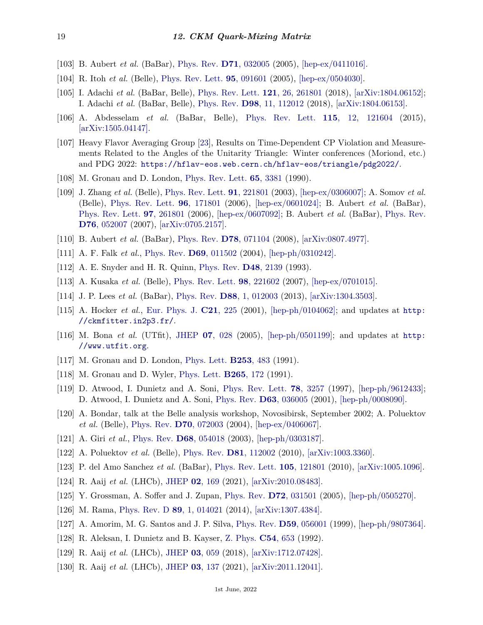- <span id="page-18-0"></span>[103] B. Aubert *et al.* (BaBar), [Phys. Rev.](http://doi.org/10.1103/PhysRevD.71.032005) **D71**[, 032005](http://doi.org/10.1103/PhysRevD.71.032005) (2005), [\[hep-ex/0411016\].](https://arxiv.org/abs/hep-ex/0411016)
- <span id="page-18-1"></span>[104] R. Itoh *et al.* (Belle), [Phys. Rev. Lett.](http://doi.org/10.1103/PhysRevLett.95.091601) **95**[, 091601](http://doi.org/10.1103/PhysRevLett.95.091601) (2005), [\[hep-ex/0504030\].](https://arxiv.org/abs/hep-ex/0504030)
- <span id="page-18-2"></span>[105] I. Adachi *et al.* (BaBar, Belle), [Phys. Rev. Lett.](http://doi.org/10.1103/PhysRevLett.121.261801) **121**[, 26, 261801](http://doi.org/10.1103/PhysRevLett.121.261801) (2018), [\[arXiv:1804.06152\];](https://arxiv.org/abs/1804.06152) I. Adachi *et al.* (BaBar, Belle), [Phys. Rev.](http://doi.org/10.1103/PhysRevD.98.112012) **D98**[, 11, 112012](http://doi.org/10.1103/PhysRevD.98.112012) (2018), [\[arXiv:1804.06153\].](https://arxiv.org/abs/1804.06153)
- <span id="page-18-3"></span>[106] A. Abdesselam *et al.* (BaBar, Belle), [Phys. Rev. Lett.](http://doi.org/10.1103/PhysRevLett.115.121604) **115**[, 12, 121604](http://doi.org/10.1103/PhysRevLett.115.121604) (2015), [\[arXiv:1505.04147\].](https://arxiv.org/abs/1505.04147)
- <span id="page-18-4"></span>[107] Heavy Flavor Averaging Group [\[23\]](#page-15-2), Results on Time-Dependent CP Violation and Measurements Related to the Angles of the Unitarity Triangle: Winter conferences (Moriond, etc.) and PDG 2022: <https://hflav-eos.web.cern.ch/hflav-eos/triangle/pdg2022/>.
- <span id="page-18-5"></span>[108] M. Gronau and D. London, [Phys. Rev. Lett.](http://doi.org/10.1103/PhysRevLett.65.3381) **65**[, 3381](http://doi.org/10.1103/PhysRevLett.65.3381) (1990).
- <span id="page-18-6"></span>[109] J. Zhang *et al.* (Belle), [Phys. Rev. Lett.](http://doi.org/10.1103/PhysRevLett.91.221801) **91**[, 221801](http://doi.org/10.1103/PhysRevLett.91.221801) (2003), [\[hep-ex/0306007\];](https://arxiv.org/abs/hep-ex/0306007) A. Somov *et al.* (Belle), [Phys. Rev. Lett.](http://doi.org/10.1103/PhysRevLett.96.171801) **96**[, 171801](http://doi.org/10.1103/PhysRevLett.96.171801) (2006), [\[hep-ex/0601024\];](https://arxiv.org/abs/hep-ex/0601024) B. Aubert *et al.* (BaBar), [Phys. Rev. Lett.](http://doi.org/10.1103/PhysRevLett.97.261801) **97**[, 261801](http://doi.org/10.1103/PhysRevLett.97.261801) (2006), [\[hep-ex/0607092\];](https://arxiv.org/abs/hep-ex/0607092) B. Aubert *et al.* (BaBar), [Phys. Rev.](http://doi.org/10.1103/PhysRevD.76.052007) **D76**[, 052007](http://doi.org/10.1103/PhysRevD.76.052007) (2007), [\[arXiv:0705.2157\].](https://arxiv.org/abs/0705.2157)
- <span id="page-18-7"></span>[110] B. Aubert *et al.* (BaBar), [Phys. Rev.](http://doi.org/10.1103/PhysRevD.78.071104) **D78**[, 071104](http://doi.org/10.1103/PhysRevD.78.071104) (2008), [\[arXiv:0807.4977\].](https://arxiv.org/abs/0807.4977)
- <span id="page-18-9"></span><span id="page-18-8"></span>[111] A. F. Falk *et al.*, [Phys. Rev.](http://doi.org/10.1103/PhysRevD.69.011502) **D69**[, 011502](http://doi.org/10.1103/PhysRevD.69.011502) (2004), [\[hep-ph/0310242\].](https://arxiv.org/abs/hep-ph/0310242)
- <span id="page-18-10"></span>[112] A. E. Snyder and H. R. Quinn, [Phys. Rev.](http://doi.org/10.1103/PhysRevD.48.2139) **D48**[, 2139](http://doi.org/10.1103/PhysRevD.48.2139) (1993).
- [113] A. Kusaka *et al.* (Belle), [Phys. Rev. Lett.](http://doi.org/10.1103/PhysRevLett.98.221602) **98**[, 221602](http://doi.org/10.1103/PhysRevLett.98.221602) (2007), [\[hep-ex/0701015\].](https://arxiv.org/abs/hep-ex/0701015)
- <span id="page-18-12"></span><span id="page-18-11"></span>[114] J. P. Lees *et al.* (BaBar), [Phys. Rev.](http://doi.org/10.1103/PhysRevD.88.012003) **D88**[, 1, 012003](http://doi.org/10.1103/PhysRevD.88.012003) (2013), [\[arXiv:1304.3503\].](https://arxiv.org/abs/1304.3503)
- [115] A. Hocker *et al.*, [Eur. Phys. J.](http://doi.org/10.1007/s100520100729) **C21**[, 225](http://doi.org/10.1007/s100520100729) (2001), [\[hep-ph/0104062\];](https://arxiv.org/abs/hep-ph/0104062) and updates at [http:](http://ckmfitter.in2p3.fr/) [//ckmfitter.in2p3.fr/](http://ckmfitter.in2p3.fr/).
- <span id="page-18-13"></span>[116] M. Bona *et al.* (UTfit), [JHEP](http://doi.org/10.1088/1126-6708/2005/07/028) **07**[, 028](http://doi.org/10.1088/1126-6708/2005/07/028) (2005), [\[hep-ph/0501199\];](https://arxiv.org/abs/hep-ph/0501199) and updates at [http:](http://www.utfit.org) [//www.utfit.org](http://www.utfit.org).
- <span id="page-18-15"></span><span id="page-18-14"></span>[117] M. Gronau and D. London, [Phys. Lett.](http://doi.org/10.1016/0370-2693(91)91756-L) **[B253](http://doi.org/10.1016/0370-2693(91)91756-L)**, 483 (1991).
- <span id="page-18-16"></span>[118] M. Gronau and D. Wyler, [Phys. Lett.](http://doi.org/10.1016/0370-2693(91)90034-N) **[B265](http://doi.org/10.1016/0370-2693(91)90034-N)**, 172 (1991).
- [119] D. Atwood, I. Dunietz and A. Soni, [Phys. Rev. Lett.](http://doi.org/10.1103/PhysRevLett.78.3257) **78**[, 3257](http://doi.org/10.1103/PhysRevLett.78.3257) (1997), [\[hep-ph/9612433\];](https://arxiv.org/abs/hep-ph/9612433) D. Atwood, I. Dunietz and A. Soni, [Phys. Rev.](http://doi.org/10.1103/PhysRevD.63.036005) **D63**[, 036005](http://doi.org/10.1103/PhysRevD.63.036005) (2001), [\[hep-ph/0008090\].](https://arxiv.org/abs/hep-ph/0008090)
- <span id="page-18-17"></span>[120] A. Bondar, talk at the Belle analysis workshop, Novosibirsk, September 2002; A. Poluektov *et al.* (Belle), [Phys. Rev.](http://doi.org/10.1103/PhysRevD.70.072003) **D70**[, 072003](http://doi.org/10.1103/PhysRevD.70.072003) (2004), [\[hep-ex/0406067\].](https://arxiv.org/abs/hep-ex/0406067)
- <span id="page-18-18"></span>[121] A. Giri *et al.*, [Phys. Rev.](http://doi.org/10.1103/PhysRevD.68.054018) **D68**[, 054018](http://doi.org/10.1103/PhysRevD.68.054018) (2003), [\[hep-ph/0303187\].](https://arxiv.org/abs/hep-ph/0303187)
- <span id="page-18-19"></span>[122] A. Poluektov *et al.* (Belle), [Phys. Rev.](http://doi.org/10.1103/PhysRevD.81.112002) **D81**[, 112002](http://doi.org/10.1103/PhysRevD.81.112002) (2010), [\[arXiv:1003.3360\].](https://arxiv.org/abs/1003.3360)
- <span id="page-18-20"></span>[123] P. del Amo Sanchez *et al.* (BaBar), [Phys. Rev. Lett.](http://doi.org/10.1103/PhysRevLett.105.121801) **105**[, 121801](http://doi.org/10.1103/PhysRevLett.105.121801) (2010), [\[arXiv:1005.1096\].](https://arxiv.org/abs/1005.1096)
- <span id="page-18-21"></span>[124] R. Aaij *et al.* (LHCb), [JHEP](http://doi.org/10.1007/JHEP02(2021)169) **02**[, 169](http://doi.org/10.1007/JHEP02(2021)169) (2021), [\[arXiv:2010.08483\].](https://arxiv.org/abs/2010.08483)
- <span id="page-18-23"></span><span id="page-18-22"></span>[125] Y. Grossman, A. Soffer and J. Zupan, [Phys. Rev.](http://doi.org/10.1103/PhysRevD.72.031501) **D72**[, 031501](http://doi.org/10.1103/PhysRevD.72.031501) (2005), [\[hep-ph/0505270\].](https://arxiv.org/abs/hep-ph/0505270)
- <span id="page-18-24"></span>[126] M. Rama, [Phys. Rev. D](http://doi.org/10.1103/PhysRevD.89.014021) **89**[, 1, 014021](http://doi.org/10.1103/PhysRevD.89.014021) (2014), [\[arXiv:1307.4384\].](https://arxiv.org/abs/1307.4384)
- [127] A. Amorim, M. G. Santos and J. P. Silva, [Phys. Rev.](http://doi.org/10.1103/PhysRevD.59.056001) **D59**[, 056001](http://doi.org/10.1103/PhysRevD.59.056001) (1999), [\[hep-ph/9807364\].](https://arxiv.org/abs/hep-ph/9807364)
- <span id="page-18-25"></span>[128] R. Aleksan, I. Dunietz and B. Kayser, [Z. Phys.](http://doi.org/10.1007/BF01559494) **C54**[, 653](http://doi.org/10.1007/BF01559494) (1992).
- <span id="page-18-27"></span><span id="page-18-26"></span>[129] R. Aaij *et al.* (LHCb), [JHEP](http://doi.org/10.1007/JHEP03(2018)059) **03**[, 059](http://doi.org/10.1007/JHEP03(2018)059) (2018), [\[arXiv:1712.07428\].](https://arxiv.org/abs/1712.07428)
- [130] R. Aaij *et al.* (LHCb), [JHEP](http://doi.org/10.1007/JHEP03(2021)137) **03**[, 137](http://doi.org/10.1007/JHEP03(2021)137) (2021), [\[arXiv:2011.12041\].](https://arxiv.org/abs/2011.12041)